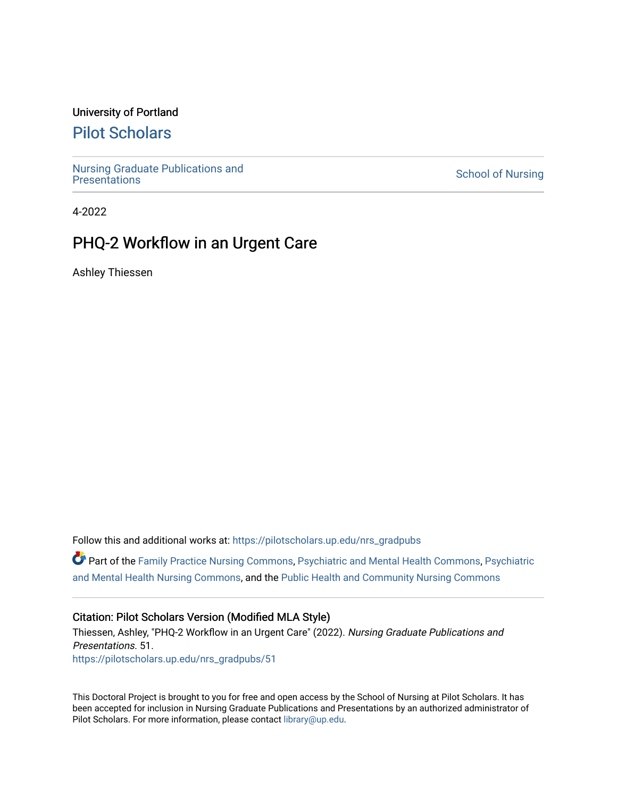### University of Portland

### [Pilot Scholars](https://pilotscholars.up.edu/)

[Nursing Graduate Publications and](https://pilotscholars.up.edu/nrs_gradpubs) 

**School of Nursing** 

4-2022

# PHQ-2 Workflow in an Urgent Care

Ashley Thiessen

Follow this and additional works at: [https://pilotscholars.up.edu/nrs\\_gradpubs](https://pilotscholars.up.edu/nrs_gradpubs?utm_source=pilotscholars.up.edu%2Fnrs_gradpubs%2F51&utm_medium=PDF&utm_campaign=PDFCoverPages) 

Part of the [Family Practice Nursing Commons](https://network.bepress.com/hgg/discipline/720?utm_source=pilotscholars.up.edu%2Fnrs_gradpubs%2F51&utm_medium=PDF&utm_campaign=PDFCoverPages), [Psychiatric and Mental Health Commons,](https://network.bepress.com/hgg/discipline/711?utm_source=pilotscholars.up.edu%2Fnrs_gradpubs%2F51&utm_medium=PDF&utm_campaign=PDFCoverPages) [Psychiatric](https://network.bepress.com/hgg/discipline/724?utm_source=pilotscholars.up.edu%2Fnrs_gradpubs%2F51&utm_medium=PDF&utm_campaign=PDFCoverPages) [and Mental Health Nursing Commons](https://network.bepress.com/hgg/discipline/724?utm_source=pilotscholars.up.edu%2Fnrs_gradpubs%2F51&utm_medium=PDF&utm_campaign=PDFCoverPages), and the [Public Health and Community Nursing Commons](https://network.bepress.com/hgg/discipline/725?utm_source=pilotscholars.up.edu%2Fnrs_gradpubs%2F51&utm_medium=PDF&utm_campaign=PDFCoverPages) 

#### Citation: Pilot Scholars Version (Modified MLA Style)

Thiessen, Ashley, "PHQ-2 Workflow in an Urgent Care" (2022). Nursing Graduate Publications and Presentations. 51. [https://pilotscholars.up.edu/nrs\\_gradpubs/51](https://pilotscholars.up.edu/nrs_gradpubs/51?utm_source=pilotscholars.up.edu%2Fnrs_gradpubs%2F51&utm_medium=PDF&utm_campaign=PDFCoverPages)

This Doctoral Project is brought to you for free and open access by the School of Nursing at Pilot Scholars. It has been accepted for inclusion in Nursing Graduate Publications and Presentations by an authorized administrator of Pilot Scholars. For more information, please contact [library@up.edu](mailto:library@up.edu).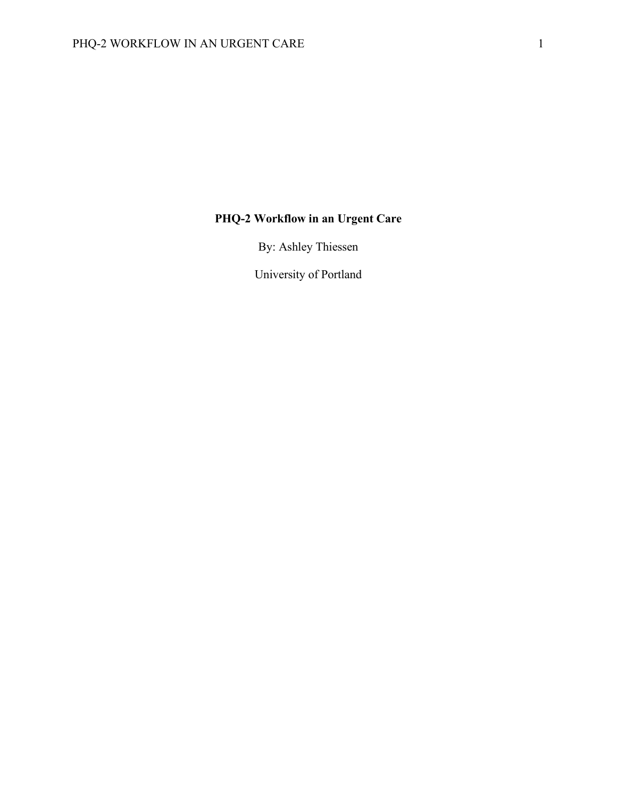# **PHQ-2 Workflow in an Urgent Care**

By: Ashley Thiessen

University of Portland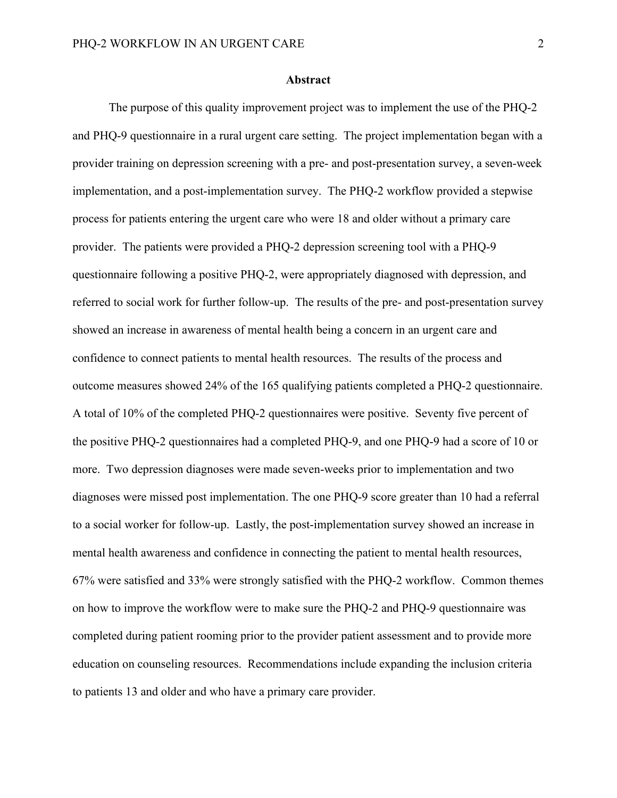#### **Abstract**

The purpose of this quality improvement project was to implement the use of the PHQ-2 and PHQ-9 questionnaire in a rural urgent care setting. The project implementation began with a provider training on depression screening with a pre- and post-presentation survey, a seven-week implementation, and a post-implementation survey. The PHQ-2 workflow provided a stepwise process for patients entering the urgent care who were 18 and older without a primary care provider. The patients were provided a PHQ-2 depression screening tool with a PHQ-9 questionnaire following a positive PHQ-2, were appropriately diagnosed with depression, and referred to social work for further follow-up. The results of the pre- and post-presentation survey showed an increase in awareness of mental health being a concern in an urgent care and confidence to connect patients to mental health resources. The results of the process and outcome measures showed 24% of the 165 qualifying patients completed a PHQ-2 questionnaire. A total of 10% of the completed PHQ-2 questionnaires were positive. Seventy five percent of the positive PHQ-2 questionnaires had a completed PHQ-9, and one PHQ-9 had a score of 10 or more. Two depression diagnoses were made seven-weeks prior to implementation and two diagnoses were missed post implementation. The one PHQ-9 score greater than 10 had a referral to a social worker for follow-up. Lastly, the post-implementation survey showed an increase in mental health awareness and confidence in connecting the patient to mental health resources, 67% were satisfied and 33% were strongly satisfied with the PHQ-2 workflow. Common themes on how to improve the workflow were to make sure the PHQ-2 and PHQ-9 questionnaire was completed during patient rooming prior to the provider patient assessment and to provide more education on counseling resources. Recommendations include expanding the inclusion criteria to patients 13 and older and who have a primary care provider.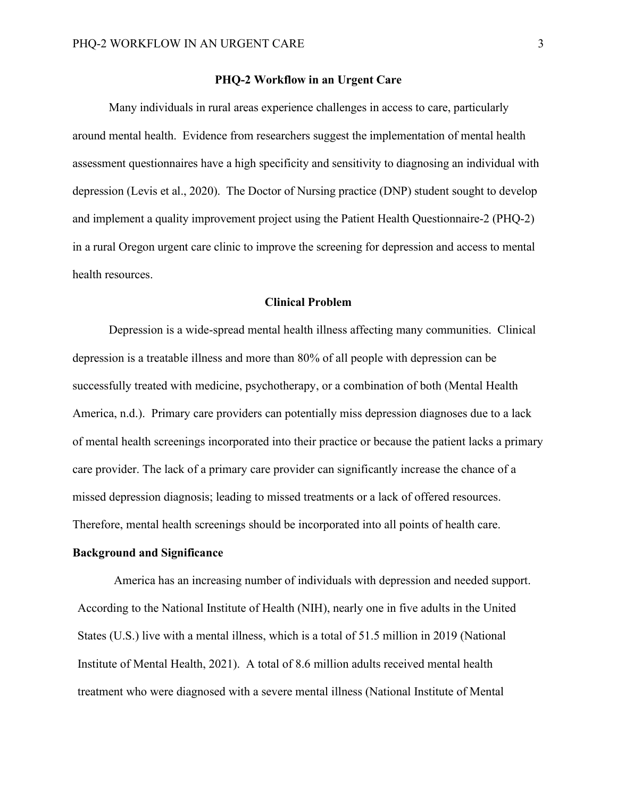#### **PHQ-2 Workflow in an Urgent Care**

Many individuals in rural areas experience challenges in access to care, particularly around mental health. Evidence from researchers suggest the implementation of mental health assessment questionnaires have a high specificity and sensitivity to diagnosing an individual with depression (Levis et al., 2020). The Doctor of Nursing practice (DNP) student sought to develop and implement a quality improvement project using the Patient Health Questionnaire-2 (PHQ-2) in a rural Oregon urgent care clinic to improve the screening for depression and access to mental health resources.

#### **Clinical Problem**

Depression is a wide-spread mental health illness affecting many communities. Clinical depression is a treatable illness and more than 80% of all people with depression can be successfully treated with medicine, psychotherapy, or a combination of both (Mental Health America, n.d.). Primary care providers can potentially miss depression diagnoses due to a lack of mental health screenings incorporated into their practice or because the patient lacks a primary care provider. The lack of a primary care provider can significantly increase the chance of a missed depression diagnosis; leading to missed treatments or a lack of offered resources. Therefore, mental health screenings should be incorporated into all points of health care.

#### **Background and Significance**

America has an increasing number of individuals with depression and needed support. According to the National Institute of Health (NIH), nearly one in five adults in the United States (U.S.) live with a mental illness, which is a total of 51.5 million in 2019 (National Institute of Mental Health, 2021). A total of 8.6 million adults received mental health treatment who were diagnosed with a severe mental illness (National Institute of Mental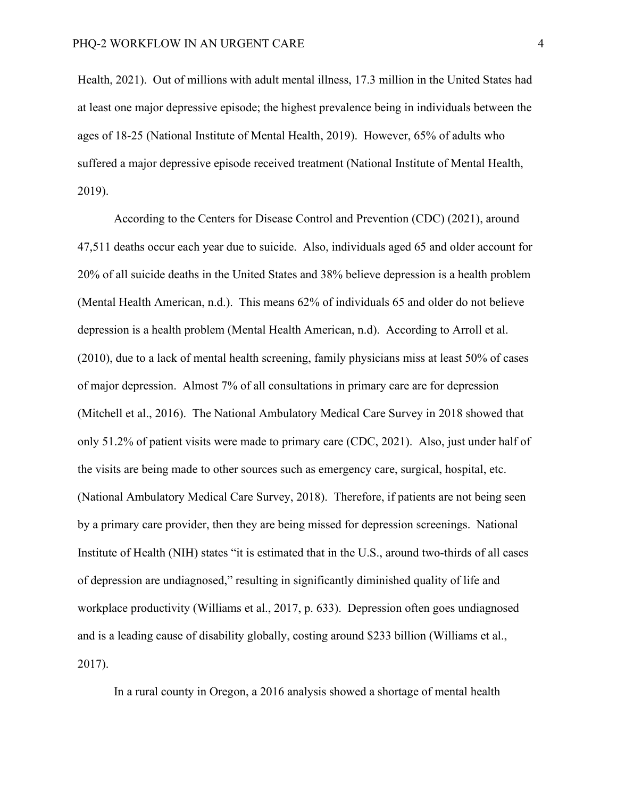Health, 2021). Out of millions with adult mental illness, 17.3 million in the United States had at least one major depressive episode; the highest prevalence being in individuals between the ages of 18-25 (National Institute of Mental Health, 2019). However, 65% of adults who suffered a major depressive episode received treatment (National Institute of Mental Health, 2019).

According to the Centers for Disease Control and Prevention (CDC) (2021), around 47,511 deaths occur each year due to suicide. Also, individuals aged 65 and older account for 20% of all suicide deaths in the United States and 38% believe depression is a health problem (Mental Health American, n.d.). This means 62% of individuals 65 and older do not believe depression is a health problem (Mental Health American, n.d). According to Arroll et al. (2010), due to a lack of mental health screening, family physicians miss at least 50% of cases of major depression. Almost 7% of all consultations in primary care are for depression (Mitchell et al., 2016). The National Ambulatory Medical Care Survey in 2018 showed that only 51.2% of patient visits were made to primary care (CDC, 2021). Also, just under half of the visits are being made to other sources such as emergency care, surgical, hospital, etc. (National Ambulatory Medical Care Survey, 2018). Therefore, if patients are not being seen by a primary care provider, then they are being missed for depression screenings. National Institute of Health (NIH) states "it is estimated that in the U.S., around two-thirds of all cases of depression are undiagnosed," resulting in significantly diminished quality of life and workplace productivity (Williams et al., 2017, p. 633). Depression often goes undiagnosed and is a leading cause of disability globally, costing around \$233 billion (Williams et al., 2017).

In a rural county in Oregon, a 2016 analysis showed a shortage of mental health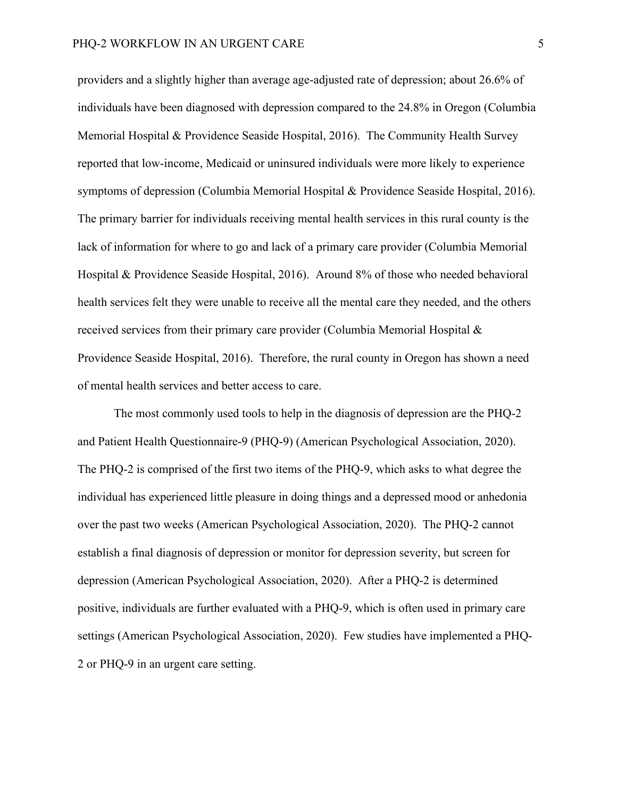providers and a slightly higher than average age-adjusted rate of depression; about 26.6% of individuals have been diagnosed with depression compared to the 24.8% in Oregon (Columbia Memorial Hospital & Providence Seaside Hospital, 2016). The Community Health Survey reported that low-income, Medicaid or uninsured individuals were more likely to experience symptoms of depression (Columbia Memorial Hospital & Providence Seaside Hospital, 2016). The primary barrier for individuals receiving mental health services in this rural county is the lack of information for where to go and lack of a primary care provider (Columbia Memorial Hospital & Providence Seaside Hospital, 2016). Around 8% of those who needed behavioral health services felt they were unable to receive all the mental care they needed, and the others received services from their primary care provider (Columbia Memorial Hospital & Providence Seaside Hospital, 2016). Therefore, the rural county in Oregon has shown a need of mental health services and better access to care.

The most commonly used tools to help in the diagnosis of depression are the PHQ-2 and Patient Health Questionnaire-9 (PHQ-9) (American Psychological Association, 2020). The PHQ-2 is comprised of the first two items of the PHQ-9, which asks to what degree the individual has experienced little pleasure in doing things and a depressed mood or anhedonia over the past two weeks (American Psychological Association, 2020). The PHQ-2 cannot establish a final diagnosis of depression or monitor for depression severity, but screen for depression (American Psychological Association, 2020). After a PHQ-2 is determined positive, individuals are further evaluated with a PHQ-9, which is often used in primary care settings (American Psychological Association, 2020). Few studies have implemented a PHQ-2 or PHQ-9 in an urgent care setting.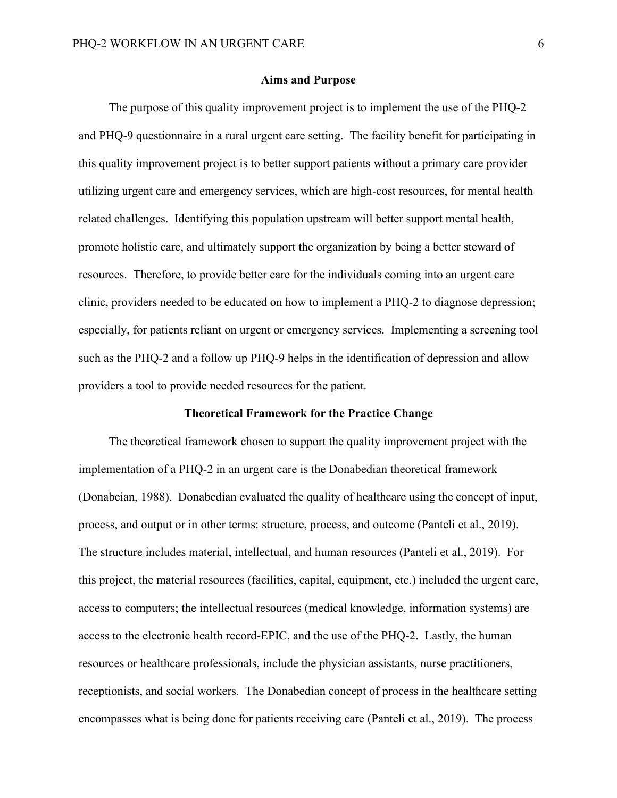#### **Aims and Purpose**

The purpose of this quality improvement project is to implement the use of the PHQ-2 and PHQ-9 questionnaire in a rural urgent care setting. The facility benefit for participating in this quality improvement project is to better support patients without a primary care provider utilizing urgent care and emergency services, which are high-cost resources, for mental health related challenges. Identifying this population upstream will better support mental health, promote holistic care, and ultimately support the organization by being a better steward of resources. Therefore, to provide better care for the individuals coming into an urgent care clinic, providers needed to be educated on how to implement a PHQ-2 to diagnose depression; especially, for patients reliant on urgent or emergency services. Implementing a screening tool such as the PHQ-2 and a follow up PHQ-9 helps in the identification of depression and allow providers a tool to provide needed resources for the patient.

#### **Theoretical Framework for the Practice Change**

The theoretical framework chosen to support the quality improvement project with the implementation of a PHQ-2 in an urgent care is the Donabedian theoretical framework (Donabeian, 1988). Donabedian evaluated the quality of healthcare using the concept of input, process, and output or in other terms: structure, process, and outcome (Panteli et al., 2019). The structure includes material, intellectual, and human resources (Panteli et al., 2019). For this project, the material resources (facilities, capital, equipment, etc.) included the urgent care, access to computers; the intellectual resources (medical knowledge, information systems) are access to the electronic health record-EPIC, and the use of the PHQ-2. Lastly, the human resources or healthcare professionals, include the physician assistants, nurse practitioners, receptionists, and social workers. The Donabedian concept of process in the healthcare setting encompasses what is being done for patients receiving care (Panteli et al., 2019). The process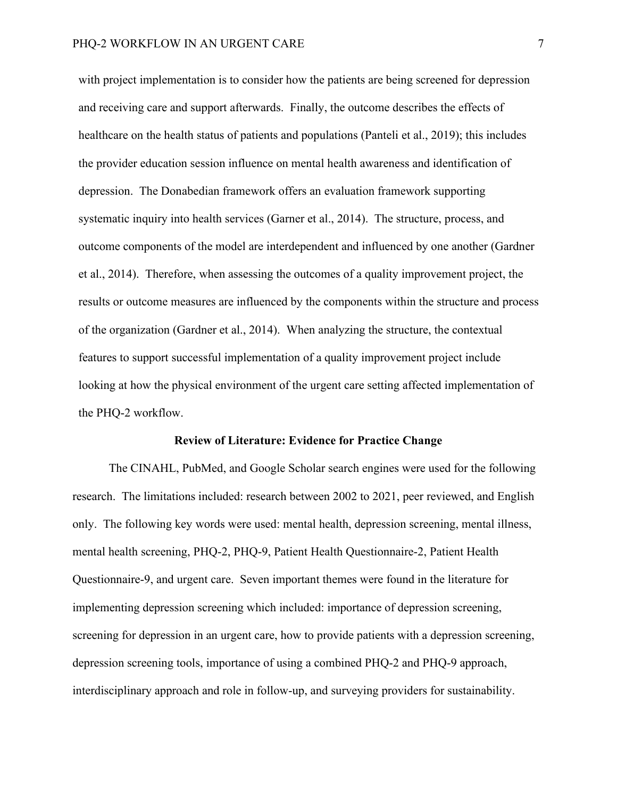with project implementation is to consider how the patients are being screened for depression and receiving care and support afterwards. Finally, the outcome describes the effects of healthcare on the health status of patients and populations (Panteli et al., 2019); this includes the provider education session influence on mental health awareness and identification of depression. The Donabedian framework offers an evaluation framework supporting systematic inquiry into health services (Garner et al., 2014). The structure, process, and outcome components of the model are interdependent and influenced by one another (Gardner et al., 2014). Therefore, when assessing the outcomes of a quality improvement project, the results or outcome measures are influenced by the components within the structure and process of the organization (Gardner et al., 2014). When analyzing the structure, the contextual features to support successful implementation of a quality improvement project include looking at how the physical environment of the urgent care setting affected implementation of the PHQ-2 workflow.

#### **Review of Literature: Evidence for Practice Change**

The CINAHL, PubMed, and Google Scholar search engines were used for the following research. The limitations included: research between 2002 to 2021, peer reviewed, and English only. The following key words were used: mental health, depression screening, mental illness, mental health screening, PHQ-2, PHQ-9, Patient Health Questionnaire-2, Patient Health Questionnaire-9, and urgent care. Seven important themes were found in the literature for implementing depression screening which included: importance of depression screening, screening for depression in an urgent care, how to provide patients with a depression screening, depression screening tools, importance of using a combined PHQ-2 and PHQ-9 approach, interdisciplinary approach and role in follow-up, and surveying providers for sustainability.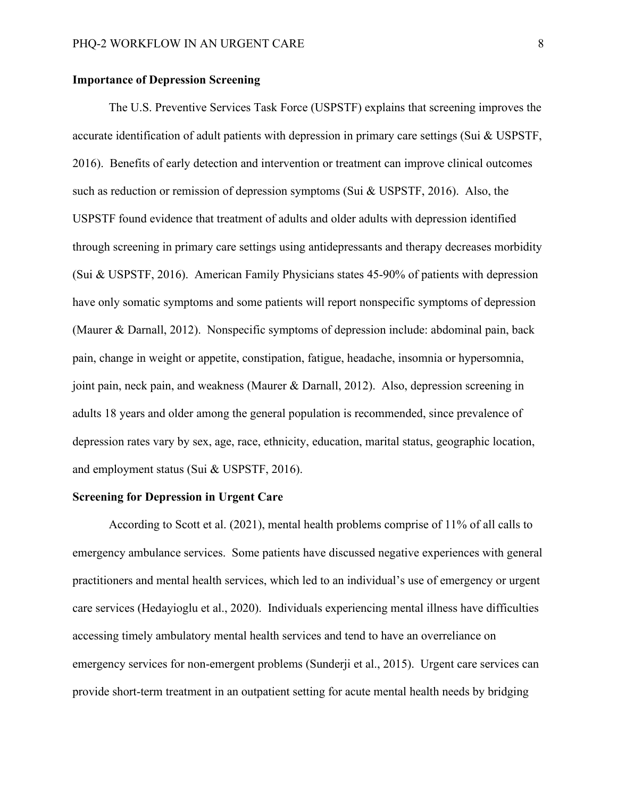#### **Importance of Depression Screening**

The U.S. Preventive Services Task Force (USPSTF) explains that screening improves the accurate identification of adult patients with depression in primary care settings (Sui & USPSTF, 2016). Benefits of early detection and intervention or treatment can improve clinical outcomes such as reduction or remission of depression symptoms (Sui & USPSTF, 2016). Also, the USPSTF found evidence that treatment of adults and older adults with depression identified through screening in primary care settings using antidepressants and therapy decreases morbidity (Sui & USPSTF, 2016). American Family Physicians states 45-90% of patients with depression have only somatic symptoms and some patients will report nonspecific symptoms of depression (Maurer & Darnall, 2012). Nonspecific symptoms of depression include: abdominal pain, back pain, change in weight or appetite, constipation, fatigue, headache, insomnia or hypersomnia, joint pain, neck pain, and weakness (Maurer & Darnall, 2012). Also, depression screening in adults 18 years and older among the general population is recommended, since prevalence of depression rates vary by sex, age, race, ethnicity, education, marital status, geographic location, and employment status (Sui & USPSTF, 2016).

#### **Screening for Depression in Urgent Care**

According to Scott et al. (2021), mental health problems comprise of 11% of all calls to emergency ambulance services. Some patients have discussed negative experiences with general practitioners and mental health services, which led to an individual's use of emergency or urgent care services (Hedayioglu et al., 2020). Individuals experiencing mental illness have difficulties accessing timely ambulatory mental health services and tend to have an overreliance on emergency services for non-emergent problems (Sunderji et al., 2015). Urgent care services can provide short-term treatment in an outpatient setting for acute mental health needs by bridging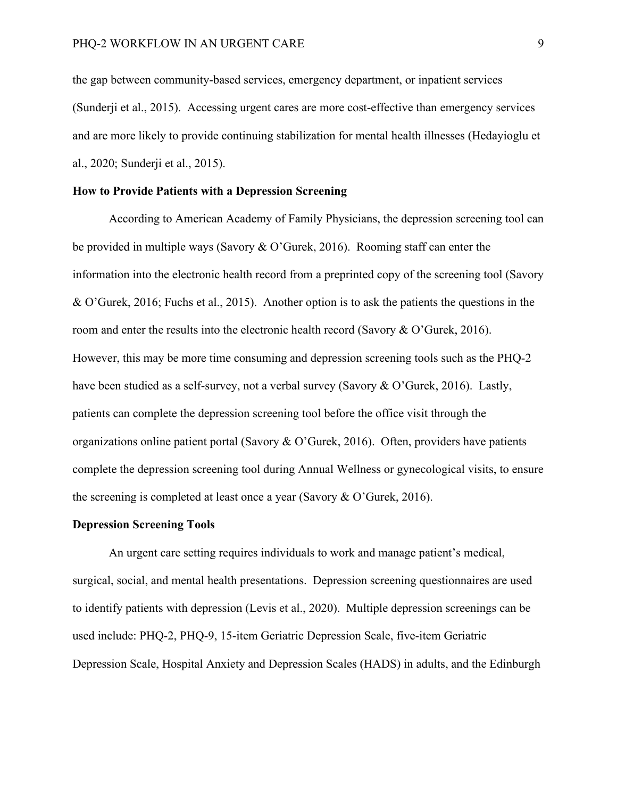the gap between community-based services, emergency department, or inpatient services (Sunderji et al., 2015). Accessing urgent cares are more cost-effective than emergency services and are more likely to provide continuing stabilization for mental health illnesses (Hedayioglu et al., 2020; Sunderji et al., 2015).

#### **How to Provide Patients with a Depression Screening**

According to American Academy of Family Physicians, the depression screening tool can be provided in multiple ways (Savory & O'Gurek, 2016). Rooming staff can enter the information into the electronic health record from a preprinted copy of the screening tool (Savory & O'Gurek, 2016; Fuchs et al., 2015). Another option is to ask the patients the questions in the room and enter the results into the electronic health record (Savory & O'Gurek, 2016). However, this may be more time consuming and depression screening tools such as the PHQ-2 have been studied as a self-survey, not a verbal survey (Savory & O'Gurek, 2016). Lastly, patients can complete the depression screening tool before the office visit through the organizations online patient portal (Savory & O'Gurek, 2016). Often, providers have patients complete the depression screening tool during Annual Wellness or gynecological visits, to ensure the screening is completed at least once a year (Savory & O'Gurek, 2016).

#### **Depression Screening Tools**

An urgent care setting requires individuals to work and manage patient's medical, surgical, social, and mental health presentations. Depression screening questionnaires are used to identify patients with depression (Levis et al., 2020). Multiple depression screenings can be used include: PHQ-2, PHQ-9, 15-item Geriatric Depression Scale, five-item Geriatric Depression Scale, Hospital Anxiety and Depression Scales (HADS) in adults, and the Edinburgh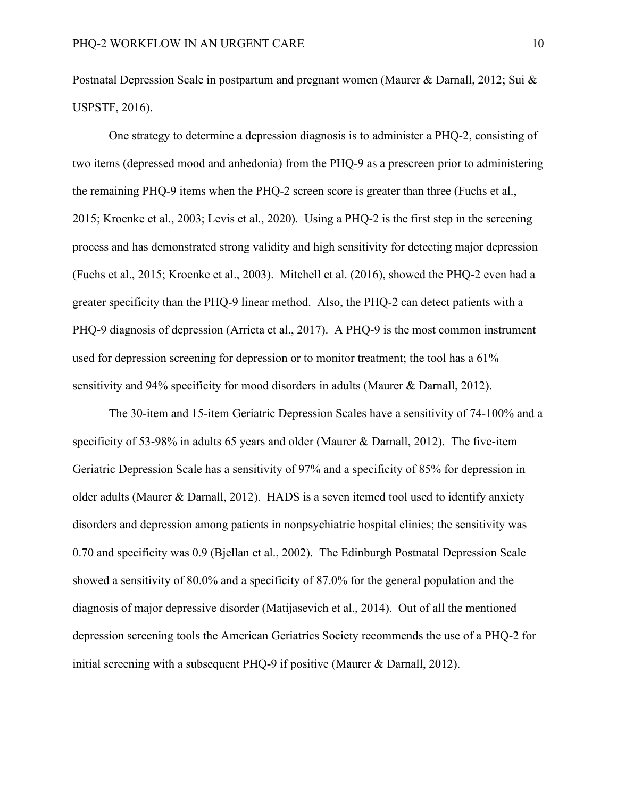Postnatal Depression Scale in postpartum and pregnant women (Maurer & Darnall, 2012; Sui & USPSTF, 2016).

One strategy to determine a depression diagnosis is to administer a PHQ-2, consisting of two items (depressed mood and anhedonia) from the PHQ-9 as a prescreen prior to administering the remaining PHQ-9 items when the PHQ-2 screen score is greater than three (Fuchs et al., 2015; Kroenke et al., 2003; Levis et al., 2020). Using a PHQ-2 is the first step in the screening process and has demonstrated strong validity and high sensitivity for detecting major depression (Fuchs et al., 2015; Kroenke et al., 2003). Mitchell et al. (2016), showed the PHQ-2 even had a greater specificity than the PHQ-9 linear method. Also, the PHQ-2 can detect patients with a PHQ-9 diagnosis of depression (Arrieta et al., 2017). A PHQ-9 is the most common instrument used for depression screening for depression or to monitor treatment; the tool has a 61% sensitivity and 94% specificity for mood disorders in adults (Maurer & Darnall, 2012).

The 30-item and 15-item Geriatric Depression Scales have a sensitivity of 74-100% and a specificity of 53-98% in adults 65 years and older (Maurer & Darnall, 2012). The five-item Geriatric Depression Scale has a sensitivity of 97% and a specificity of 85% for depression in older adults (Maurer & Darnall, 2012). HADS is a seven itemed tool used to identify anxiety disorders and depression among patients in nonpsychiatric hospital clinics; the sensitivity was 0.70 and specificity was 0.9 (Bjellan et al., 2002). The Edinburgh Postnatal Depression Scale showed a sensitivity of 80.0% and a specificity of 87.0% for the general population and the diagnosis of major depressive disorder (Matijasevich et al., 2014). Out of all the mentioned depression screening tools the American Geriatrics Society recommends the use of a PHQ-2 for initial screening with a subsequent PHQ-9 if positive (Maurer & Darnall, 2012).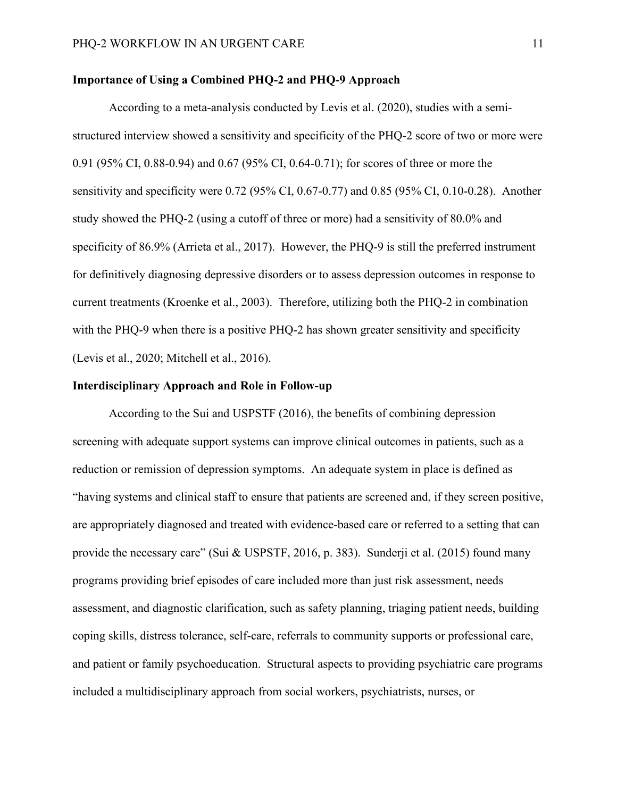#### **Importance of Using a Combined PHQ-2 and PHQ-9 Approach**

According to a meta-analysis conducted by Levis et al. (2020), studies with a semistructured interview showed a sensitivity and specificity of the PHQ-2 score of two or more were 0.91 (95% CI, 0.88-0.94) and 0.67 (95% CI, 0.64-0.71); for scores of three or more the sensitivity and specificity were 0.72 (95% CI, 0.67-0.77) and 0.85 (95% CI, 0.10-0.28). Another study showed the PHQ-2 (using a cutoff of three or more) had a sensitivity of 80.0% and specificity of 86.9% (Arrieta et al., 2017). However, the PHQ-9 is still the preferred instrument for definitively diagnosing depressive disorders or to assess depression outcomes in response to current treatments (Kroenke et al., 2003). Therefore, utilizing both the PHQ-2 in combination with the PHQ-9 when there is a positive PHQ-2 has shown greater sensitivity and specificity (Levis et al., 2020; Mitchell et al., 2016).

#### **Interdisciplinary Approach and Role in Follow-up**

According to the Sui and USPSTF (2016), the benefits of combining depression screening with adequate support systems can improve clinical outcomes in patients, such as a reduction or remission of depression symptoms. An adequate system in place is defined as "having systems and clinical staff to ensure that patients are screened and, if they screen positive, are appropriately diagnosed and treated with evidence-based care or referred to a setting that can provide the necessary care" (Sui & USPSTF, 2016, p. 383). Sunderji et al. (2015) found many programs providing brief episodes of care included more than just risk assessment, needs assessment, and diagnostic clarification, such as safety planning, triaging patient needs, building coping skills, distress tolerance, self-care, referrals to community supports or professional care, and patient or family psychoeducation. Structural aspects to providing psychiatric care programs included a multidisciplinary approach from social workers, psychiatrists, nurses, or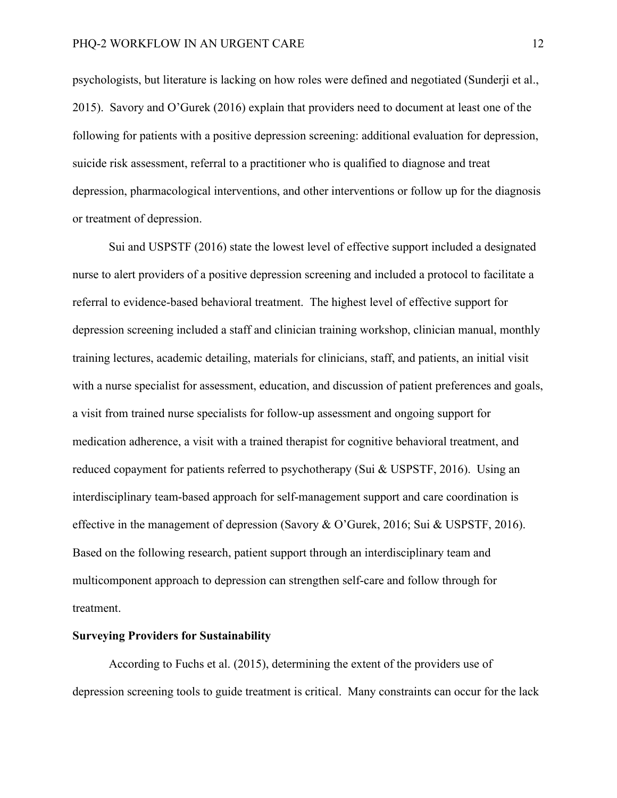psychologists, but literature is lacking on how roles were defined and negotiated (Sunderji et al., 2015). Savory and O'Gurek (2016) explain that providers need to document at least one of the following for patients with a positive depression screening: additional evaluation for depression, suicide risk assessment, referral to a practitioner who is qualified to diagnose and treat depression, pharmacological interventions, and other interventions or follow up for the diagnosis or treatment of depression.

Sui and USPSTF (2016) state the lowest level of effective support included a designated nurse to alert providers of a positive depression screening and included a protocol to facilitate a referral to evidence-based behavioral treatment. The highest level of effective support for depression screening included a staff and clinician training workshop, clinician manual, monthly training lectures, academic detailing, materials for clinicians, staff, and patients, an initial visit with a nurse specialist for assessment, education, and discussion of patient preferences and goals, a visit from trained nurse specialists for follow-up assessment and ongoing support for medication adherence, a visit with a trained therapist for cognitive behavioral treatment, and reduced copayment for patients referred to psychotherapy (Sui & USPSTF, 2016). Using an interdisciplinary team-based approach for self-management support and care coordination is effective in the management of depression (Savory & O'Gurek, 2016; Sui & USPSTF, 2016). Based on the following research, patient support through an interdisciplinary team and multicomponent approach to depression can strengthen self-care and follow through for treatment.

#### **Surveying Providers for Sustainability**

According to Fuchs et al. (2015), determining the extent of the providers use of depression screening tools to guide treatment is critical. Many constraints can occur for the lack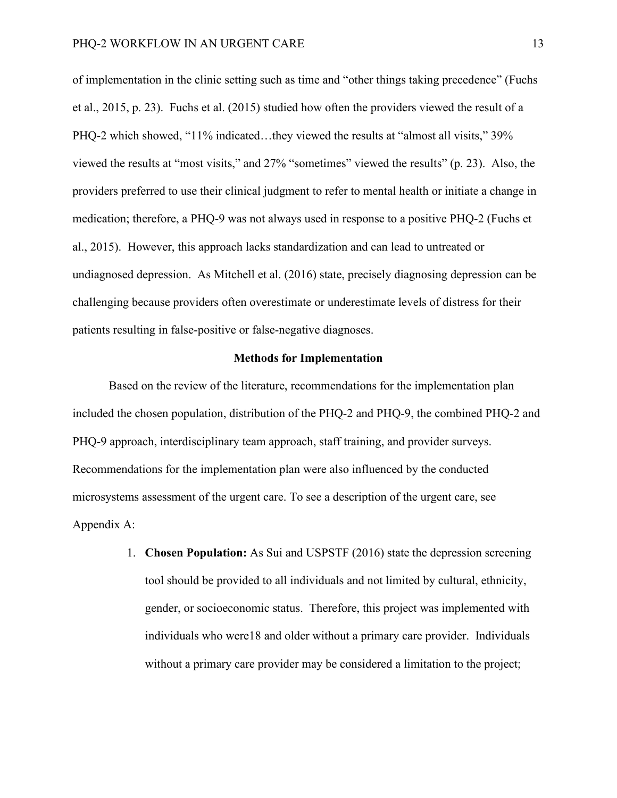of implementation in the clinic setting such as time and "other things taking precedence" (Fuchs et al., 2015, p. 23). Fuchs et al. (2015) studied how often the providers viewed the result of a PHQ-2 which showed, "11% indicated...they viewed the results at "almost all visits," 39% viewed the results at "most visits," and 27% "sometimes" viewed the results" (p. 23). Also, the providers preferred to use their clinical judgment to refer to mental health or initiate a change in medication; therefore, a PHQ-9 was not always used in response to a positive PHQ-2 (Fuchs et al., 2015). However, this approach lacks standardization and can lead to untreated or undiagnosed depression. As Mitchell et al. (2016) state, precisely diagnosing depression can be challenging because providers often overestimate or underestimate levels of distress for their patients resulting in false-positive or false-negative diagnoses.

#### **Methods for Implementation**

Based on the review of the literature, recommendations for the implementation plan included the chosen population, distribution of the PHQ-2 and PHQ-9, the combined PHQ-2 and PHQ-9 approach, interdisciplinary team approach, staff training, and provider surveys. Recommendations for the implementation plan were also influenced by the conducted microsystems assessment of the urgent care. To see a description of the urgent care, see Appendix A:

> 1. **Chosen Population:** As Sui and USPSTF (2016) state the depression screening tool should be provided to all individuals and not limited by cultural, ethnicity, gender, or socioeconomic status. Therefore, this project was implemented with individuals who were18 and older without a primary care provider. Individuals without a primary care provider may be considered a limitation to the project;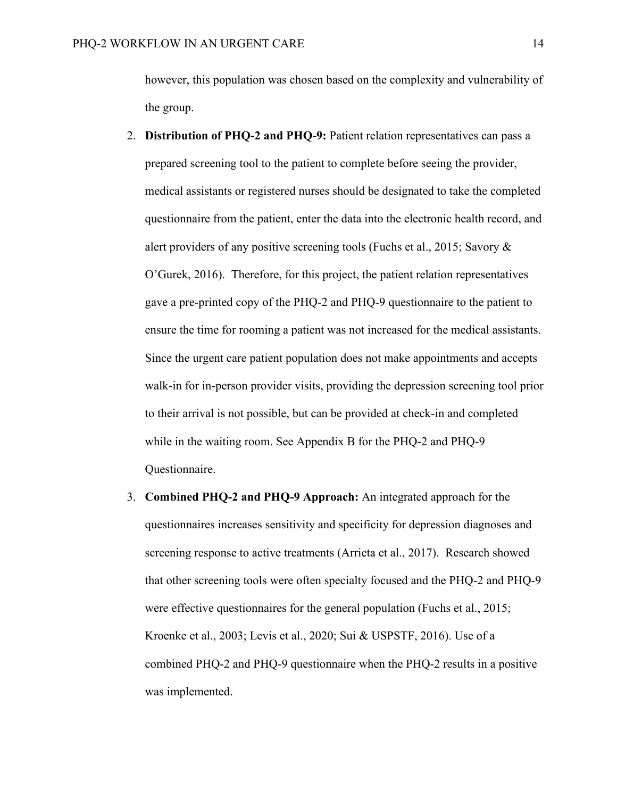however, this population was chosen based on the complexity and vulnerability of the group.

- 2. **Distribution of PHQ-2 and PHQ-9:** Patient relation representatives can pass a prepared screening tool to the patient to complete before seeing the provider, medical assistants or registered nurses should be designated to take the completed questionnaire from the patient, enter the data into the electronic health record, and alert providers of any positive screening tools (Fuchs et al., 2015; Savory & O'Gurek, 2016). Therefore, for this project, the patient relation representatives gave a pre-printed copy of the PHQ-2 and PHQ-9 questionnaire to the patient to ensure the time for rooming a patient was not increased for the medical assistants. Since the urgent care patient population does not make appointments and accepts walk-in for in-person provider visits, providing the depression screening tool prior to their arrival is not possible, but can be provided at check-in and completed while in the waiting room. See Appendix B for the PHQ-2 and PHQ-9 Questionnaire.
- 3. **Combined PHQ-2 and PHQ-9 Approach:** An integrated approach for the questionnaires increases sensitivity and specificity for depression diagnoses and screening response to active treatments (Arrieta et al., 2017). Research showed that other screening tools were often specialty focused and the PHQ-2 and PHQ-9 were effective questionnaires for the general population (Fuchs et al., 2015; Kroenke et al., 2003; Levis et al., 2020; Sui & USPSTF, 2016). Use of a combined PHQ-2 and PHQ-9 questionnaire when the PHQ-2 results in a positive was implemented.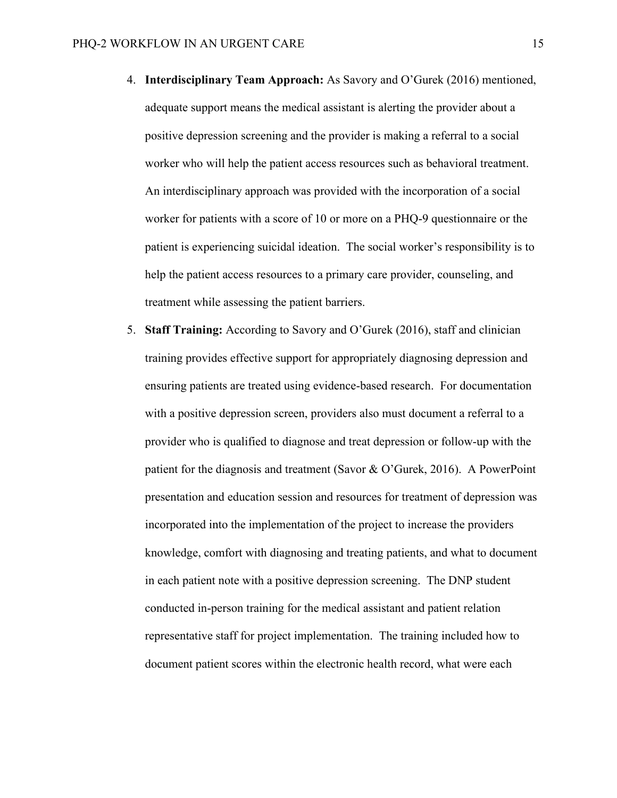- 4. **Interdisciplinary Team Approach:** As Savory and O'Gurek (2016) mentioned, adequate support means the medical assistant is alerting the provider about a positive depression screening and the provider is making a referral to a social worker who will help the patient access resources such as behavioral treatment. An interdisciplinary approach was provided with the incorporation of a social worker for patients with a score of 10 or more on a PHQ-9 questionnaire or the patient is experiencing suicidal ideation. The social worker's responsibility is to help the patient access resources to a primary care provider, counseling, and treatment while assessing the patient barriers.
- 5. **Staff Training:** According to Savory and O'Gurek (2016), staff and clinician training provides effective support for appropriately diagnosing depression and ensuring patients are treated using evidence-based research. For documentation with a positive depression screen, providers also must document a referral to a provider who is qualified to diagnose and treat depression or follow-up with the patient for the diagnosis and treatment (Savor & O'Gurek, 2016). A PowerPoint presentation and education session and resources for treatment of depression was incorporated into the implementation of the project to increase the providers knowledge, comfort with diagnosing and treating patients, and what to document in each patient note with a positive depression screening. The DNP student conducted in-person training for the medical assistant and patient relation representative staff for project implementation. The training included how to document patient scores within the electronic health record, what were each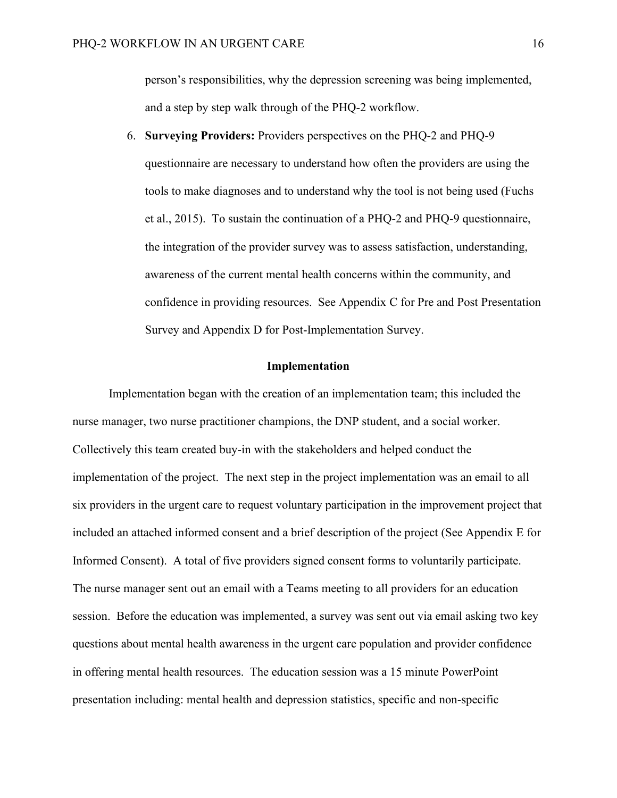person's responsibilities, why the depression screening was being implemented, and a step by step walk through of the PHQ-2 workflow.

6. **Surveying Providers:** Providers perspectives on the PHQ-2 and PHQ-9 questionnaire are necessary to understand how often the providers are using the tools to make diagnoses and to understand why the tool is not being used (Fuchs et al., 2015). To sustain the continuation of a PHQ-2 and PHQ-9 questionnaire, the integration of the provider survey was to assess satisfaction, understanding, awareness of the current mental health concerns within the community, and confidence in providing resources. See Appendix C for Pre and Post Presentation Survey and Appendix D for Post-Implementation Survey.

### **Implementation**

Implementation began with the creation of an implementation team; this included the nurse manager, two nurse practitioner champions, the DNP student, and a social worker. Collectively this team created buy-in with the stakeholders and helped conduct the implementation of the project. The next step in the project implementation was an email to all six providers in the urgent care to request voluntary participation in the improvement project that included an attached informed consent and a brief description of the project (See Appendix E for Informed Consent). A total of five providers signed consent forms to voluntarily participate. The nurse manager sent out an email with a Teams meeting to all providers for an education session. Before the education was implemented, a survey was sent out via email asking two key questions about mental health awareness in the urgent care population and provider confidence in offering mental health resources. The education session was a 15 minute PowerPoint presentation including: mental health and depression statistics, specific and non-specific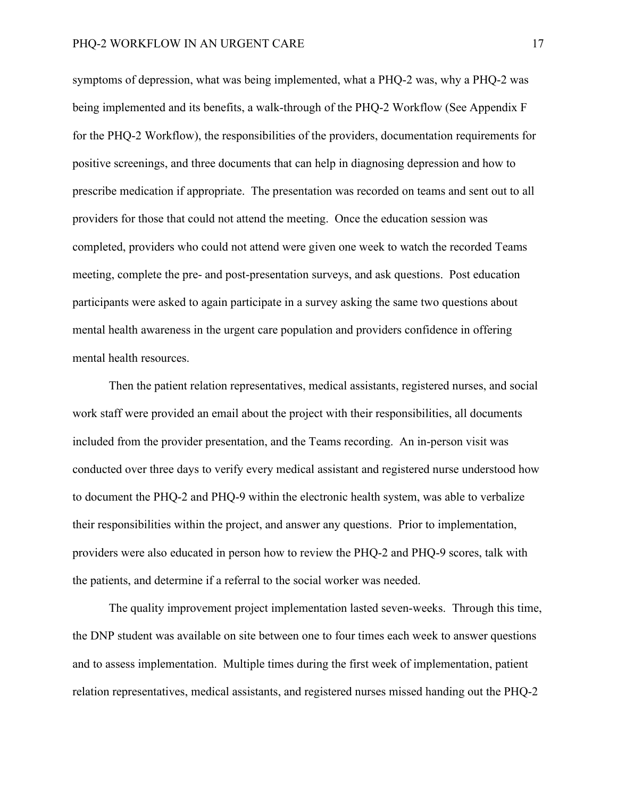symptoms of depression, what was being implemented, what a PHQ-2 was, why a PHQ-2 was being implemented and its benefits, a walk-through of the PHQ-2 Workflow (See Appendix F for the PHQ-2 Workflow), the responsibilities of the providers, documentation requirements for positive screenings, and three documents that can help in diagnosing depression and how to prescribe medication if appropriate. The presentation was recorded on teams and sent out to all providers for those that could not attend the meeting. Once the education session was completed, providers who could not attend were given one week to watch the recorded Teams meeting, complete the pre- and post-presentation surveys, and ask questions. Post education participants were asked to again participate in a survey asking the same two questions about mental health awareness in the urgent care population and providers confidence in offering mental health resources.

Then the patient relation representatives, medical assistants, registered nurses, and social work staff were provided an email about the project with their responsibilities, all documents included from the provider presentation, and the Teams recording. An in-person visit was conducted over three days to verify every medical assistant and registered nurse understood how to document the PHQ-2 and PHQ-9 within the electronic health system, was able to verbalize their responsibilities within the project, and answer any questions. Prior to implementation, providers were also educated in person how to review the PHQ-2 and PHQ-9 scores, talk with the patients, and determine if a referral to the social worker was needed.

The quality improvement project implementation lasted seven-weeks. Through this time, the DNP student was available on site between one to four times each week to answer questions and to assess implementation. Multiple times during the first week of implementation, patient relation representatives, medical assistants, and registered nurses missed handing out the PHQ-2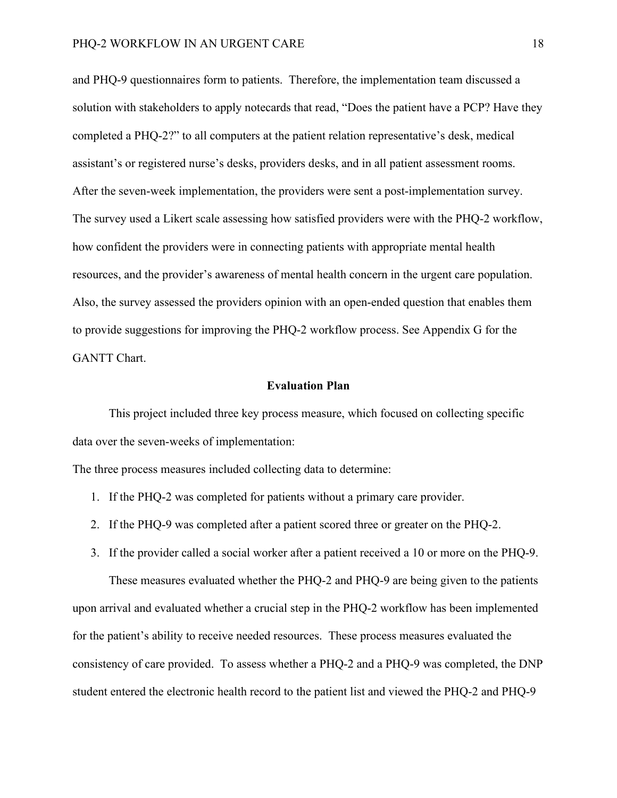and PHQ-9 questionnaires form to patients. Therefore, the implementation team discussed a solution with stakeholders to apply notecards that read, "Does the patient have a PCP? Have they completed a PHQ-2?" to all computers at the patient relation representative's desk, medical assistant's or registered nurse's desks, providers desks, and in all patient assessment rooms. After the seven-week implementation, the providers were sent a post-implementation survey. The survey used a Likert scale assessing how satisfied providers were with the PHQ-2 workflow, how confident the providers were in connecting patients with appropriate mental health resources, and the provider's awareness of mental health concern in the urgent care population. Also, the survey assessed the providers opinion with an open-ended question that enables them to provide suggestions for improving the PHQ-2 workflow process. See Appendix G for the GANTT Chart.

#### **Evaluation Plan**

This project included three key process measure, which focused on collecting specific data over the seven-weeks of implementation:

The three process measures included collecting data to determine:

- 1. If the PHQ-2 was completed for patients without a primary care provider.
- 2. If the PHQ-9 was completed after a patient scored three or greater on the PHQ-2.
- 3. If the provider called a social worker after a patient received a 10 or more on the PHQ-9.

These measures evaluated whether the PHQ-2 and PHQ-9 are being given to the patients upon arrival and evaluated whether a crucial step in the PHQ-2 workflow has been implemented for the patient's ability to receive needed resources. These process measures evaluated the consistency of care provided. To assess whether a PHQ-2 and a PHQ-9 was completed, the DNP student entered the electronic health record to the patient list and viewed the PHQ-2 and PHQ-9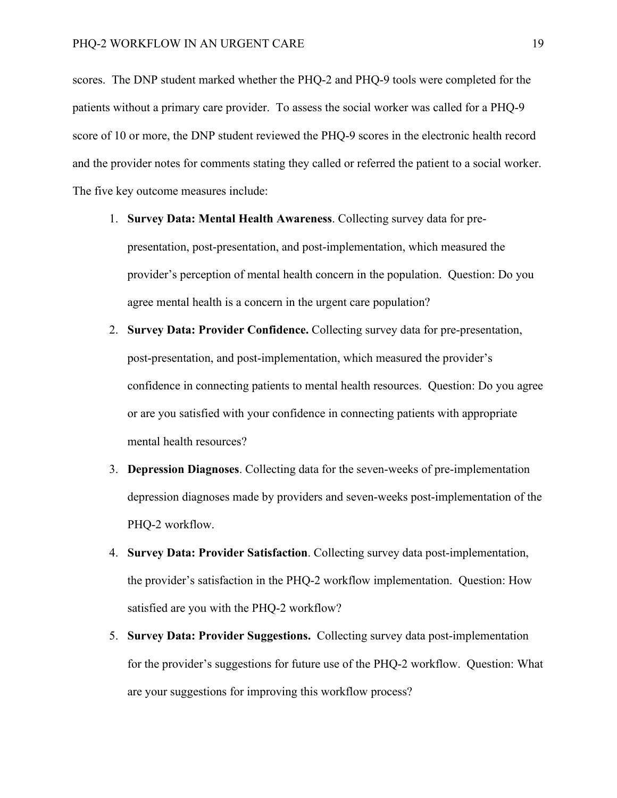scores. The DNP student marked whether the PHQ-2 and PHQ-9 tools were completed for the patients without a primary care provider. To assess the social worker was called for a PHQ-9 score of 10 or more, the DNP student reviewed the PHQ-9 scores in the electronic health record and the provider notes for comments stating they called or referred the patient to a social worker. The five key outcome measures include:

- 1. **Survey Data: Mental Health Awareness**. Collecting survey data for prepresentation, post-presentation, and post-implementation, which measured the provider's perception of mental health concern in the population. Question: Do you agree mental health is a concern in the urgent care population?
- 2. **Survey Data: Provider Confidence.** Collecting survey data for pre-presentation, post-presentation, and post-implementation, which measured the provider's confidence in connecting patients to mental health resources. Question: Do you agree or are you satisfied with your confidence in connecting patients with appropriate mental health resources?
- 3. **Depression Diagnoses**. Collecting data for the seven-weeks of pre-implementation depression diagnoses made by providers and seven-weeks post-implementation of the PHQ-2 workflow.
- 4. **Survey Data: Provider Satisfaction**. Collecting survey data post-implementation, the provider's satisfaction in the PHQ-2 workflow implementation. Question: How satisfied are you with the PHQ-2 workflow?
- 5. **Survey Data: Provider Suggestions.** Collecting survey data post-implementation for the provider's suggestions for future use of the PHQ-2 workflow. Question: What are your suggestions for improving this workflow process?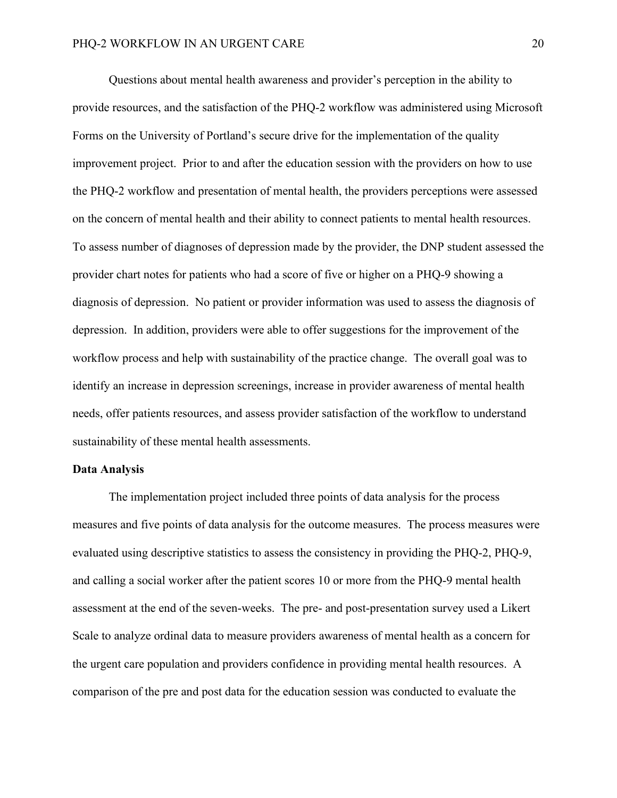Questions about mental health awareness and provider's perception in the ability to provide resources, and the satisfaction of the PHQ-2 workflow was administered using Microsoft Forms on the University of Portland's secure drive for the implementation of the quality improvement project. Prior to and after the education session with the providers on how to use the PHQ-2 workflow and presentation of mental health, the providers perceptions were assessed on the concern of mental health and their ability to connect patients to mental health resources. To assess number of diagnoses of depression made by the provider, the DNP student assessed the provider chart notes for patients who had a score of five or higher on a PHQ-9 showing a diagnosis of depression. No patient or provider information was used to assess the diagnosis of depression. In addition, providers were able to offer suggestions for the improvement of the workflow process and help with sustainability of the practice change. The overall goal was to identify an increase in depression screenings, increase in provider awareness of mental health needs, offer patients resources, and assess provider satisfaction of the workflow to understand sustainability of these mental health assessments.

#### **Data Analysis**

The implementation project included three points of data analysis for the process measures and five points of data analysis for the outcome measures. The process measures were evaluated using descriptive statistics to assess the consistency in providing the PHQ-2, PHQ-9, and calling a social worker after the patient scores 10 or more from the PHQ-9 mental health assessment at the end of the seven-weeks. The pre- and post-presentation survey used a Likert Scale to analyze ordinal data to measure providers awareness of mental health as a concern for the urgent care population and providers confidence in providing mental health resources. A comparison of the pre and post data for the education session was conducted to evaluate the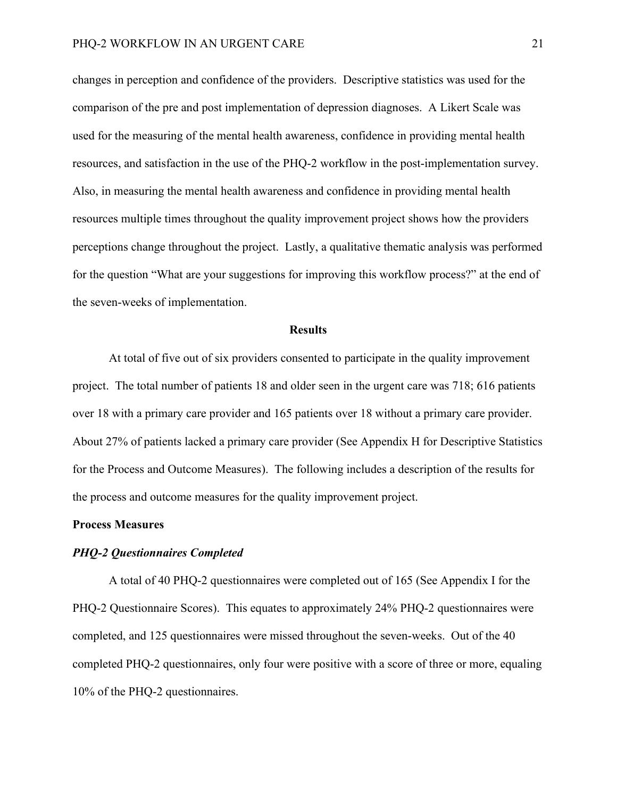changes in perception and confidence of the providers. Descriptive statistics was used for the comparison of the pre and post implementation of depression diagnoses. A Likert Scale was used for the measuring of the mental health awareness, confidence in providing mental health resources, and satisfaction in the use of the PHQ-2 workflow in the post-implementation survey. Also, in measuring the mental health awareness and confidence in providing mental health resources multiple times throughout the quality improvement project shows how the providers perceptions change throughout the project. Lastly, a qualitative thematic analysis was performed for the question "What are your suggestions for improving this workflow process?" at the end of the seven-weeks of implementation.

#### **Results**

At total of five out of six providers consented to participate in the quality improvement project. The total number of patients 18 and older seen in the urgent care was 718; 616 patients over 18 with a primary care provider and 165 patients over 18 without a primary care provider. About 27% of patients lacked a primary care provider (See Appendix H for Descriptive Statistics for the Process and Outcome Measures). The following includes a description of the results for the process and outcome measures for the quality improvement project.

#### **Process Measures**

#### *PHQ-2 Questionnaires Completed*

A total of 40 PHQ-2 questionnaires were completed out of 165 (See Appendix I for the PHQ-2 Questionnaire Scores). This equates to approximately 24% PHQ-2 questionnaires were completed, and 125 questionnaires were missed throughout the seven-weeks. Out of the 40 completed PHQ-2 questionnaires, only four were positive with a score of three or more, equaling 10% of the PHQ-2 questionnaires.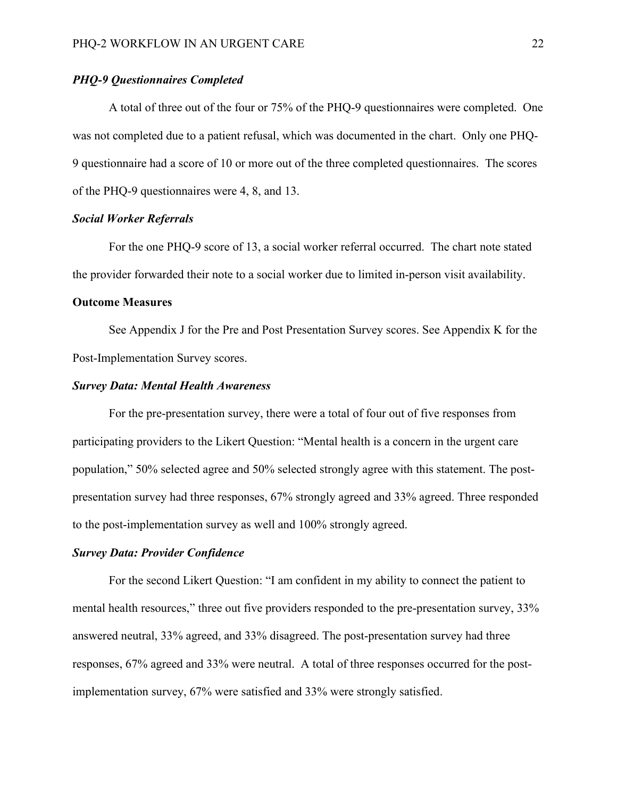#### *PHQ-9 Questionnaires Completed*

A total of three out of the four or 75% of the PHQ-9 questionnaires were completed. One was not completed due to a patient refusal, which was documented in the chart. Only one PHQ-9 questionnaire had a score of 10 or more out of the three completed questionnaires. The scores of the PHQ-9 questionnaires were 4, 8, and 13.

#### *Social Worker Referrals*

For the one PHQ-9 score of 13, a social worker referral occurred. The chart note stated the provider forwarded their note to a social worker due to limited in-person visit availability.

#### **Outcome Measures**

See Appendix J for the Pre and Post Presentation Survey scores. See Appendix K for the Post-Implementation Survey scores.

#### *Survey Data: Mental Health Awareness*

For the pre-presentation survey, there were a total of four out of five responses from participating providers to the Likert Question: "Mental health is a concern in the urgent care population," 50% selected agree and 50% selected strongly agree with this statement. The postpresentation survey had three responses, 67% strongly agreed and 33% agreed. Three responded to the post-implementation survey as well and 100% strongly agreed.

#### *Survey Data: Provider Confidence*

For the second Likert Question: "I am confident in my ability to connect the patient to mental health resources," three out five providers responded to the pre-presentation survey, 33% answered neutral, 33% agreed, and 33% disagreed. The post-presentation survey had three responses, 67% agreed and 33% were neutral. A total of three responses occurred for the postimplementation survey, 67% were satisfied and 33% were strongly satisfied.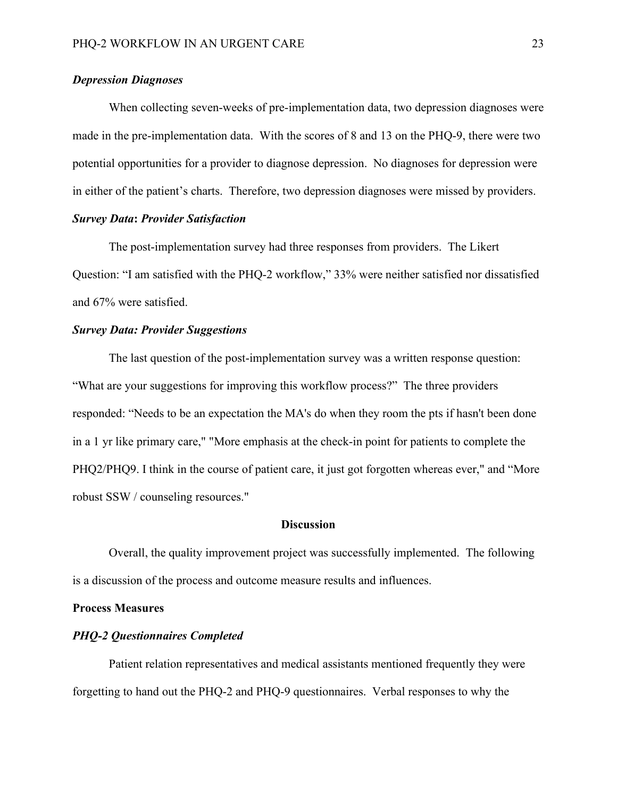#### *Depression Diagnoses*

When collecting seven-weeks of pre-implementation data, two depression diagnoses were made in the pre-implementation data. With the scores of 8 and 13 on the PHQ-9, there were two potential opportunities for a provider to diagnose depression. No diagnoses for depression were in either of the patient's charts. Therefore, two depression diagnoses were missed by providers.

#### *Survey Data***:** *Provider Satisfaction*

The post-implementation survey had three responses from providers. The Likert Question: "I am satisfied with the PHQ-2 workflow," 33% were neither satisfied nor dissatisfied and 67% were satisfied.

#### *Survey Data: Provider Suggestions*

The last question of the post-implementation survey was a written response question: "What are your suggestions for improving this workflow process?" The three providers responded: "Needs to be an expectation the MA's do when they room the pts if hasn't been done in a 1 yr like primary care," "More emphasis at the check-in point for patients to complete the PHQ2/PHQ9. I think in the course of patient care, it just got forgotten whereas ever," and "More robust SSW / counseling resources."

#### **Discussion**

Overall, the quality improvement project was successfully implemented. The following is a discussion of the process and outcome measure results and influences.

#### **Process Measures**

#### *PHQ-2 Questionnaires Completed*

Patient relation representatives and medical assistants mentioned frequently they were forgetting to hand out the PHQ-2 and PHQ-9 questionnaires. Verbal responses to why the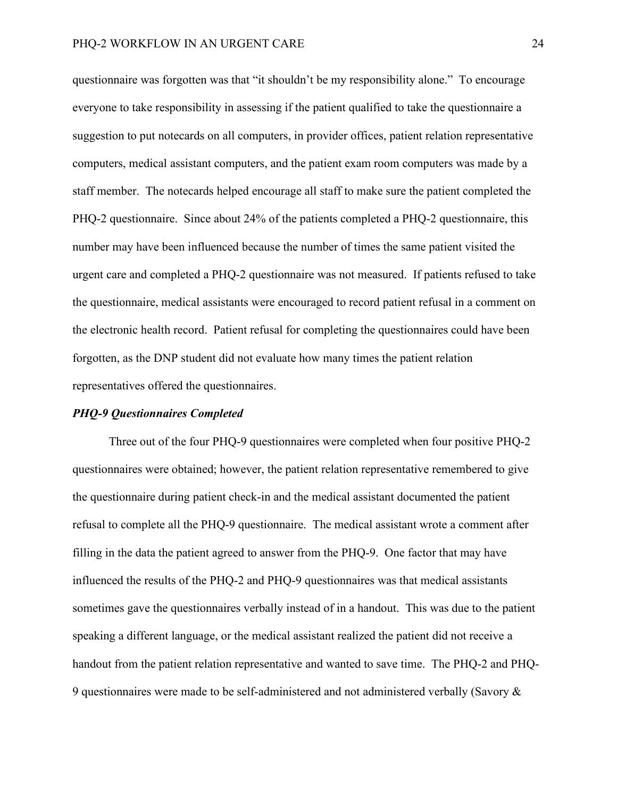questionnaire was forgotten was that "it shouldn't be my responsibility alone." To encourage everyone to take responsibility in assessing if the patient qualified to take the questionnaire a suggestion to put notecards on all computers, in provider offices, patient relation representative computers, medical assistant computers, and the patient exam room computers was made by a staff member. The notecards helped encourage all staff to make sure the patient completed the PHQ-2 questionnaire. Since about 24% of the patients completed a PHQ-2 questionnaire, this number may have been influenced because the number of times the same patient visited the urgent care and completed a PHQ-2 questionnaire was not measured. If patients refused to take the questionnaire, medical assistants were encouraged to record patient refusal in a comment on the electronic health record. Patient refusal for completing the questionnaires could have been forgotten, as the DNP student did not evaluate how many times the patient relation representatives offered the questionnaires.

#### *PHQ-9 Questionnaires Completed*

Three out of the four PHQ-9 questionnaires were completed when four positive PHQ-2 questionnaires were obtained; however, the patient relation representative remembered to give the questionnaire during patient check-in and the medical assistant documented the patient refusal to complete all the PHQ-9 questionnaire. The medical assistant wrote a comment after filling in the data the patient agreed to answer from the PHQ-9. One factor that may have influenced the results of the PHQ-2 and PHQ-9 questionnaires was that medical assistants sometimes gave the questionnaires verbally instead of in a handout. This was due to the patient speaking a different language, or the medical assistant realized the patient did not receive a handout from the patient relation representative and wanted to save time. The PHQ-2 and PHQ-9 questionnaires were made to be self-administered and not administered verbally (Savory &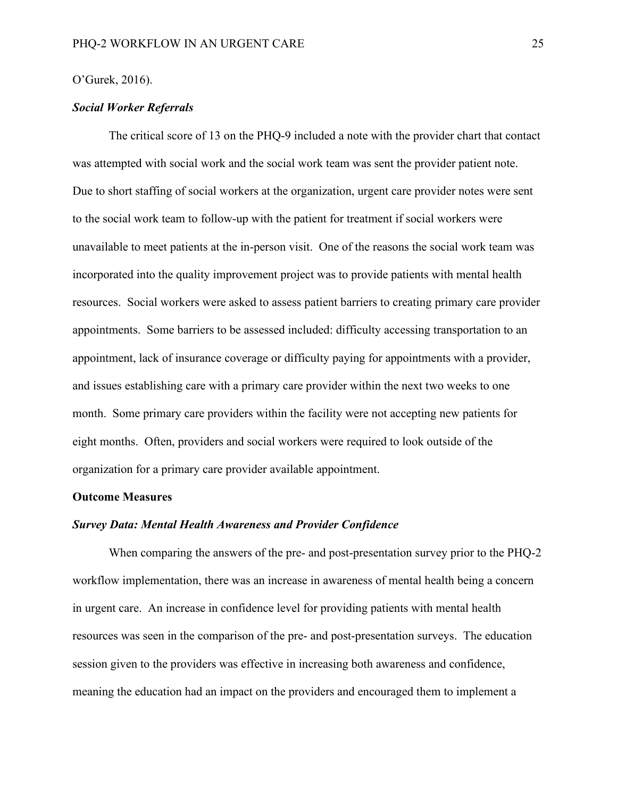#### O'Gurek, 2016).

#### *Social Worker Referrals*

The critical score of 13 on the PHQ-9 included a note with the provider chart that contact was attempted with social work and the social work team was sent the provider patient note. Due to short staffing of social workers at the organization, urgent care provider notes were sent to the social work team to follow-up with the patient for treatment if social workers were unavailable to meet patients at the in-person visit. One of the reasons the social work team was incorporated into the quality improvement project was to provide patients with mental health resources. Social workers were asked to assess patient barriers to creating primary care provider appointments. Some barriers to be assessed included: difficulty accessing transportation to an appointment, lack of insurance coverage or difficulty paying for appointments with a provider, and issues establishing care with a primary care provider within the next two weeks to one month. Some primary care providers within the facility were not accepting new patients for eight months. Often, providers and social workers were required to look outside of the organization for a primary care provider available appointment.

#### **Outcome Measures**

#### *Survey Data: Mental Health Awareness and Provider Confidence*

When comparing the answers of the pre- and post-presentation survey prior to the PHQ-2 workflow implementation, there was an increase in awareness of mental health being a concern in urgent care. An increase in confidence level for providing patients with mental health resources was seen in the comparison of the pre- and post-presentation surveys. The education session given to the providers was effective in increasing both awareness and confidence, meaning the education had an impact on the providers and encouraged them to implement a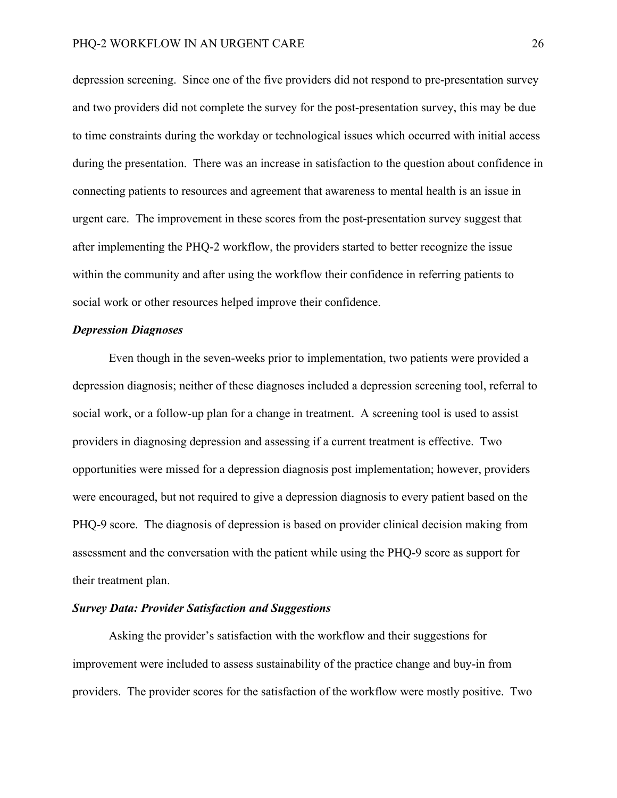depression screening. Since one of the five providers did not respond to pre-presentation survey and two providers did not complete the survey for the post-presentation survey, this may be due to time constraints during the workday or technological issues which occurred with initial access during the presentation. There was an increase in satisfaction to the question about confidence in connecting patients to resources and agreement that awareness to mental health is an issue in urgent care. The improvement in these scores from the post-presentation survey suggest that after implementing the PHQ-2 workflow, the providers started to better recognize the issue within the community and after using the workflow their confidence in referring patients to social work or other resources helped improve their confidence.

#### *Depression Diagnoses*

Even though in the seven-weeks prior to implementation, two patients were provided a depression diagnosis; neither of these diagnoses included a depression screening tool, referral to social work, or a follow-up plan for a change in treatment. A screening tool is used to assist providers in diagnosing depression and assessing if a current treatment is effective. Two opportunities were missed for a depression diagnosis post implementation; however, providers were encouraged, but not required to give a depression diagnosis to every patient based on the PHQ-9 score. The diagnosis of depression is based on provider clinical decision making from assessment and the conversation with the patient while using the PHQ-9 score as support for their treatment plan.

#### *Survey Data: Provider Satisfaction and Suggestions*

Asking the provider's satisfaction with the workflow and their suggestions for improvement were included to assess sustainability of the practice change and buy-in from providers. The provider scores for the satisfaction of the workflow were mostly positive. Two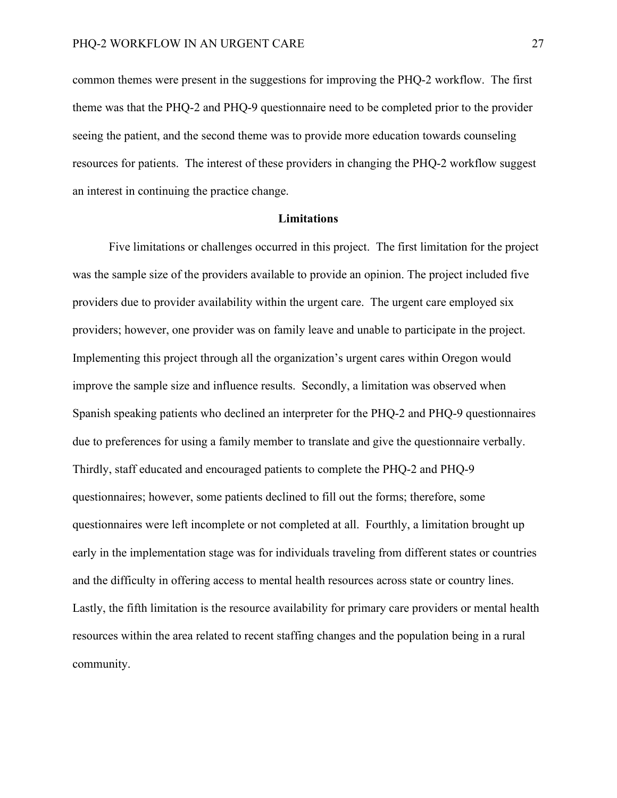common themes were present in the suggestions for improving the PHQ-2 workflow. The first theme was that the PHQ-2 and PHQ-9 questionnaire need to be completed prior to the provider seeing the patient, and the second theme was to provide more education towards counseling resources for patients. The interest of these providers in changing the PHQ-2 workflow suggest an interest in continuing the practice change.

#### **Limitations**

Five limitations or challenges occurred in this project. The first limitation for the project was the sample size of the providers available to provide an opinion. The project included five providers due to provider availability within the urgent care. The urgent care employed six providers; however, one provider was on family leave and unable to participate in the project. Implementing this project through all the organization's urgent cares within Oregon would improve the sample size and influence results. Secondly, a limitation was observed when Spanish speaking patients who declined an interpreter for the PHQ-2 and PHQ-9 questionnaires due to preferences for using a family member to translate and give the questionnaire verbally. Thirdly, staff educated and encouraged patients to complete the PHQ-2 and PHQ-9 questionnaires; however, some patients declined to fill out the forms; therefore, some questionnaires were left incomplete or not completed at all. Fourthly, a limitation brought up early in the implementation stage was for individuals traveling from different states or countries and the difficulty in offering access to mental health resources across state or country lines. Lastly, the fifth limitation is the resource availability for primary care providers or mental health resources within the area related to recent staffing changes and the population being in a rural community.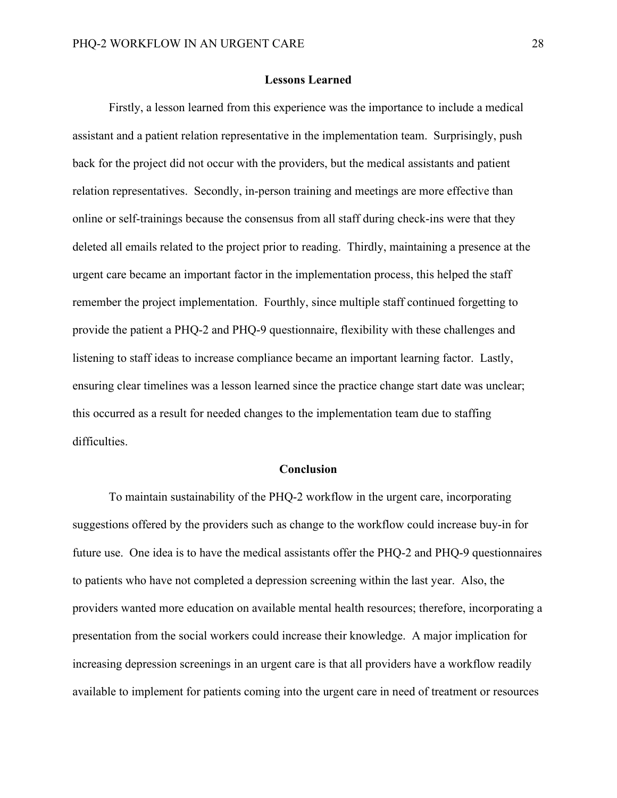#### **Lessons Learned**

Firstly, a lesson learned from this experience was the importance to include a medical assistant and a patient relation representative in the implementation team. Surprisingly, push back for the project did not occur with the providers, but the medical assistants and patient relation representatives. Secondly, in-person training and meetings are more effective than online or self-trainings because the consensus from all staff during check-ins were that they deleted all emails related to the project prior to reading. Thirdly, maintaining a presence at the urgent care became an important factor in the implementation process, this helped the staff remember the project implementation. Fourthly, since multiple staff continued forgetting to provide the patient a PHQ-2 and PHQ-9 questionnaire, flexibility with these challenges and listening to staff ideas to increase compliance became an important learning factor. Lastly, ensuring clear timelines was a lesson learned since the practice change start date was unclear; this occurred as a result for needed changes to the implementation team due to staffing difficulties.

#### **Conclusion**

To maintain sustainability of the PHQ-2 workflow in the urgent care, incorporating suggestions offered by the providers such as change to the workflow could increase buy-in for future use. One idea is to have the medical assistants offer the PHQ-2 and PHQ-9 questionnaires to patients who have not completed a depression screening within the last year. Also, the providers wanted more education on available mental health resources; therefore, incorporating a presentation from the social workers could increase their knowledge. A major implication for increasing depression screenings in an urgent care is that all providers have a workflow readily available to implement for patients coming into the urgent care in need of treatment or resources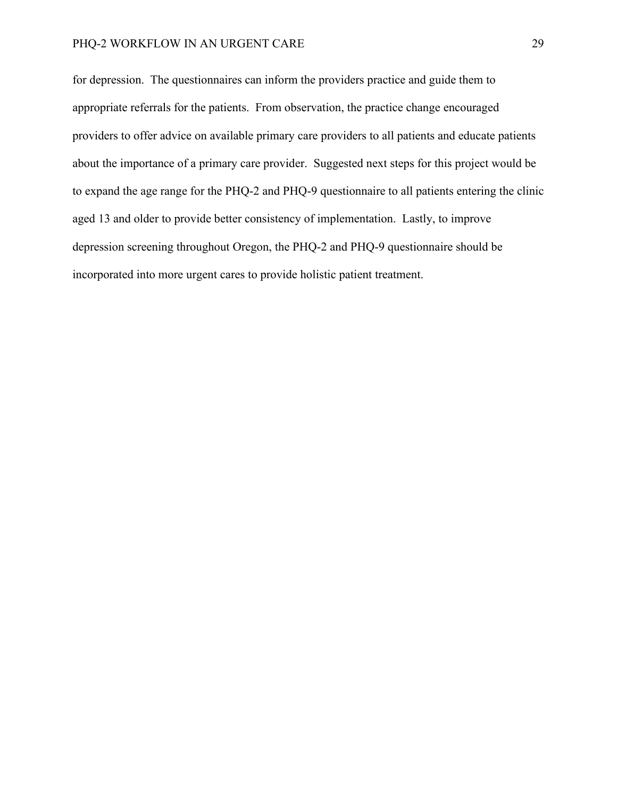for depression. The questionnaires can inform the providers practice and guide them to appropriate referrals for the patients. From observation, the practice change encouraged providers to offer advice on available primary care providers to all patients and educate patients about the importance of a primary care provider. Suggested next steps for this project would be to expand the age range for the PHQ-2 and PHQ-9 questionnaire to all patients entering the clinic aged 13 and older to provide better consistency of implementation. Lastly, to improve depression screening throughout Oregon, the PHQ-2 and PHQ-9 questionnaire should be incorporated into more urgent cares to provide holistic patient treatment.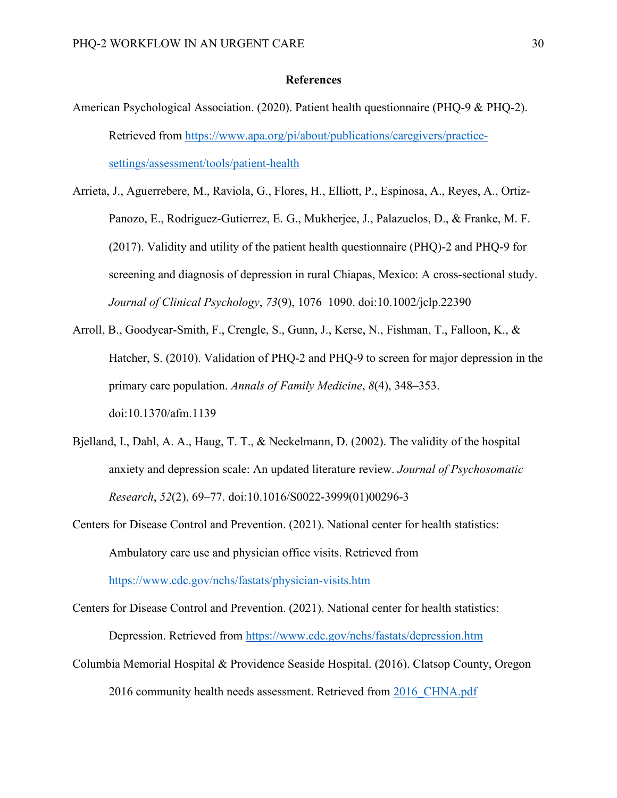#### **References**

- American Psychological Association. (2020). Patient health questionnaire (PHQ-9 & PHQ-2). Retrieved from [https://www.apa.org/pi/about/publications/caregivers/practice](https://www.apa.org/pi/about/publications/caregivers/practice-settings/assessment/tools/patient-health)[settings/assessment/tools/patient-health](https://www.apa.org/pi/about/publications/caregivers/practice-settings/assessment/tools/patient-health)
- Arrieta, J., Aguerrebere, M., Raviola, G., Flores, H., Elliott, P., Espinosa, A., Reyes, A., Ortiz-Panozo, E., Rodriguez-Gutierrez, E. G., Mukherjee, J., Palazuelos, D., & Franke, M. F. (2017). Validity and utility of the patient health questionnaire (PHQ)-2 and PHQ-9 for screening and diagnosis of depression in rural Chiapas, Mexico: A cross-sectional study. *Journal of Clinical Psychology*, *73*(9), 1076–1090. doi:10.1002/jclp.22390
- Arroll, B., Goodyear-Smith, F., Crengle, S., Gunn, J., Kerse, N., Fishman, T., Falloon, K., & Hatcher, S. (2010). Validation of PHQ-2 and PHQ-9 to screen for major depression in the primary care population. *Annals of Family Medicine*, *8*(4), 348–353. doi:10.1370/afm.1139
- Bjelland, I., Dahl, A. A., Haug, T. T., & Neckelmann, D. (2002). The validity of the hospital anxiety and depression scale: An updated literature review. *Journal of Psychosomatic Research*, *52*(2), 69–77. doi:10.1016/S0022-3999(01)00296-3
- Centers for Disease Control and Prevention. (2021). National center for health statistics: Ambulatory care use and physician office visits. Retrieved from

<https://www.cdc.gov/nchs/fastats/physician-visits.htm>

Centers for Disease Control and Prevention. (2021). National center for health statistics:

Depression. Retrieved from<https://www.cdc.gov/nchs/fastats/depression.htm>

Columbia Memorial Hospital & Providence Seaside Hospital. (2016). Clatsop County, Oregon 2016 community health needs assessment. Retrieved from 2016 CHNA.pdf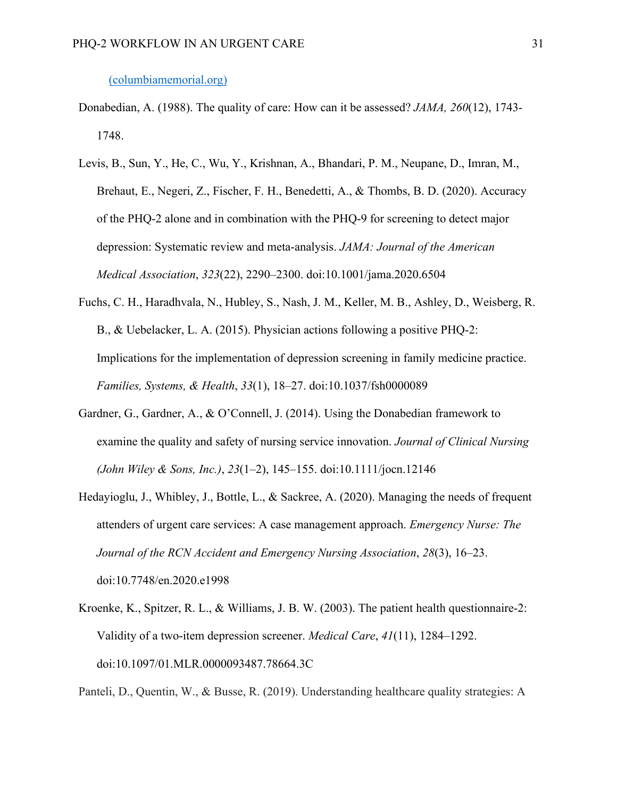#### [\(columbiamemorial.org\)](https://columbiamemorial.org/wp-content/uploads/2017/01/2016_CHNA.pdf)

- Donabedian, A. (1988). The quality of care: How can it be assessed? *JAMA, 260*(12), 1743- 1748.
- Levis, B., Sun, Y., He, C., Wu, Y., Krishnan, A., Bhandari, P. M., Neupane, D., Imran, M., Brehaut, E., Negeri, Z., Fischer, F. H., Benedetti, A., & Thombs, B. D. (2020). Accuracy of the PHQ-2 alone and in combination with the PHQ-9 for screening to detect major depression: Systematic review and meta-analysis. *JAMA: Journal of the American Medical Association*, *323*(22), 2290–2300. doi:10.1001/jama.2020.6504
- Fuchs, C. H., Haradhvala, N., Hubley, S., Nash, J. M., Keller, M. B., Ashley, D., Weisberg, R. B., & Uebelacker, L. A. (2015). Physician actions following a positive PHQ-2: Implications for the implementation of depression screening in family medicine practice. *Families, Systems, & Health*, *33*(1), 18–27. doi:10.1037/fsh0000089
- Gardner, G., Gardner, A., & O'Connell, J. (2014). Using the Donabedian framework to examine the quality and safety of nursing service innovation. *Journal of Clinical Nursing (John Wiley & Sons, Inc.)*, *23*(1–2), 145–155. doi:10.1111/jocn.12146
- Hedayioglu, J., Whibley, J., Bottle, L., & Sackree, A. (2020). Managing the needs of frequent attenders of urgent care services: A case management approach. *Emergency Nurse: The Journal of the RCN Accident and Emergency Nursing Association*, *28*(3), 16–23. doi:10.7748/en.2020.e1998
- Kroenke, K., Spitzer, R. L., & Williams, J. B. W. (2003). The patient health questionnaire-2: Validity of a two-item depression screener. *Medical Care*, *41*(11), 1284–1292. doi:10.1097/01.MLR.0000093487.78664.3C

Panteli, D., Quentin, W., & Busse, R. (2019). Understanding healthcare quality strategies: A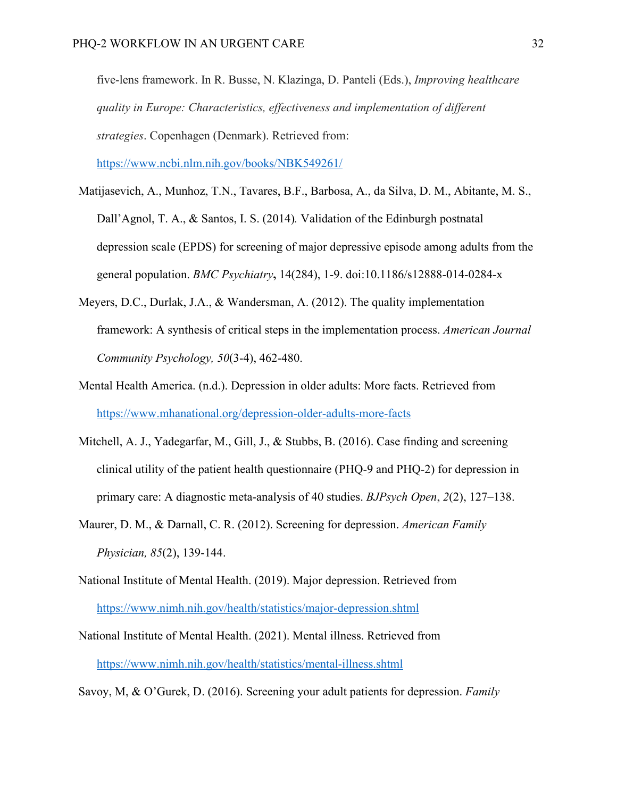five-lens framework. In R. Busse, N. Klazinga, D. Panteli (Eds.), *Improving healthcare quality in Europe: Characteristics, effectiveness and implementation of different strategies*. Copenhagen (Denmark). Retrieved from:

<https://www.ncbi.nlm.nih.gov/books/NBK549261/>

- Matijasevich, A., Munhoz, T.N., Tavares, B.F., Barbosa, A., da Silva, D. M., Abitante, M. S., Dall'Agnol, T. A., & Santos, I. S. (2014)*.* Validation of the Edinburgh postnatal depression scale (EPDS) for screening of major depressive episode among adults from the general population. *BMC Psychiatry***,** 14(284), 1-9. doi:10.1186/s12888-014-0284-x
- Meyers, D.C., Durlak, J.A., & Wandersman, A. (2012). The quality implementation framework: A synthesis of critical steps in the implementation process. *American Journal Community Psychology, 50*(3-4), 462-480.
- Mental Health America. (n.d.). Depression in older adults: More facts. Retrieved from <https://www.mhanational.org/depression-older-adults-more-facts>
- Mitchell, A. J., Yadegarfar, M., Gill, J., & Stubbs, B. (2016). Case finding and screening clinical utility of the patient health questionnaire (PHQ-9 and PHQ-2) for depression in primary care: A diagnostic meta-analysis of 40 studies. *BJPsych Open*, *2*(2), 127–138.
- Maurer, D. M., & Darnall, C. R. (2012). Screening for depression. *American Family Physician, 85*(2), 139-144.
- National Institute of Mental Health. (2019). Major depression. Retrieved from <https://www.nimh.nih.gov/health/statistics/major-depression.shtml>
- National Institute of Mental Health. (2021). Mental illness. Retrieved from <https://www.nimh.nih.gov/health/statistics/mental-illness.shtml>

Savoy, M, & O'Gurek, D. (2016). Screening your adult patients for depression. *Family*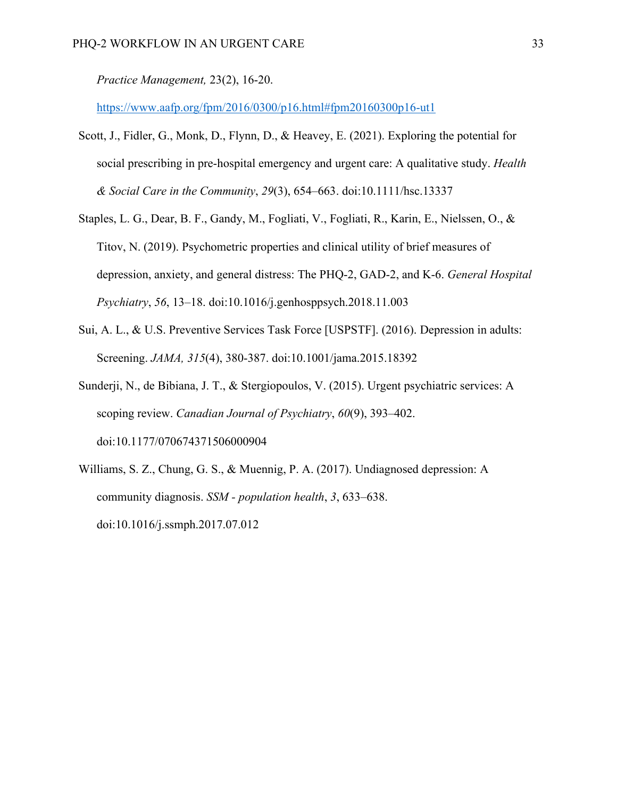*Practice Management,* 23(2), 16-20.

https://www.aafp.org/fpm/2016/0300/p16.html#fpm20160300p16-ut1

- Scott, J., Fidler, G., Monk, D., Flynn, D., & Heavey, E. (2021). Exploring the potential for social prescribing in pre‐hospital emergency and urgent care: A qualitative study. *Health & Social Care in the Community*, *29*(3), 654–663. doi:10.1111/hsc.13337
- Staples, L. G., Dear, B. F., Gandy, M., Fogliati, V., Fogliati, R., Karin, E., Nielssen, O., & Titov, N. (2019). Psychometric properties and clinical utility of brief measures of depression, anxiety, and general distress: The PHQ-2, GAD-2, and K-6. *General Hospital Psychiatry*, *56*, 13–18. doi:10.1016/j.genhosppsych.2018.11.003
- Sui, A. L., & U.S. Preventive Services Task Force [USPSTF]. (2016). Depression in adults: Screening. *JAMA, 315*(4), 380-387. doi:10.1001/jama.2015.18392
- Sunderji, N., de Bibiana, J. T., & Stergiopoulos, V. (2015). Urgent psychiatric services: A scoping review. *Canadian Journal of Psychiatry*, *60*(9), 393–402. doi:10.1177/070674371506000904
- Williams, S. Z., Chung, G. S., & Muennig, P. A. (2017). Undiagnosed depression: A community diagnosis. *SSM - population health*, *3*, 633–638. doi:10.1016/j.ssmph.2017.07.012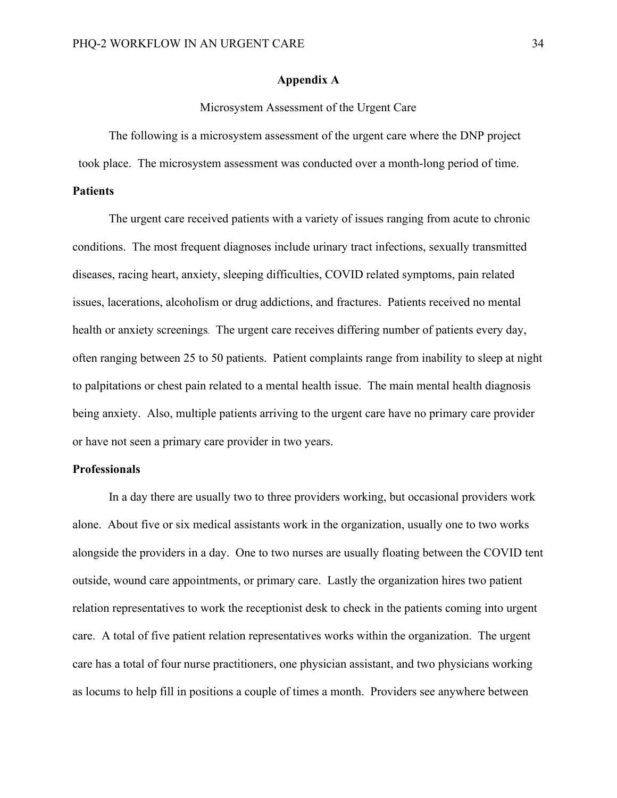#### **Appendix A**

#### Microsystem Assessment of the Urgent Care

The following is a microsystem assessment of the urgent care where the DNP project

took place. The microsystem assessment was conducted over a month-long period of time.

#### **Patients**

The urgent care received patients with a variety of issues ranging from acute to chronic conditions. The most frequent diagnoses include urinary tract infections, sexually transmitted diseases, racing heart, anxiety, sleeping difficulties, COVID related symptoms, pain related issues, lacerations, alcoholism or drug addictions, and fractures. Patients received no mental health or anxiety screenings. The urgent care receives differing number of patients every day, often ranging between 25 to 50 patients. Patient complaints range from inability to sleep at night to palpitations or chest pain related to a mental health issue. The main mental health diagnosis being anxiety. Also, multiple patients arriving to the urgent care have no primary care provider or have not seen a primary care provider in two years.

#### **Professionals**

In a day there are usually two to three providers working, but occasional providers work alone. About five or six medical assistants work in the organization, usually one to two works alongside the providers in a day. One to two nurses are usually floating between the COVID tent outside, wound care appointments, or primary care. Lastly the organization hires two patient relation representatives to work the receptionist desk to check in the patients coming into urgent care. A total of five patient relation representatives works within the organization. The urgent care has a total of four nurse practitioners, one physician assistant, and two physicians working as locums to help fill in positions a couple of times a month. Providers see anywhere between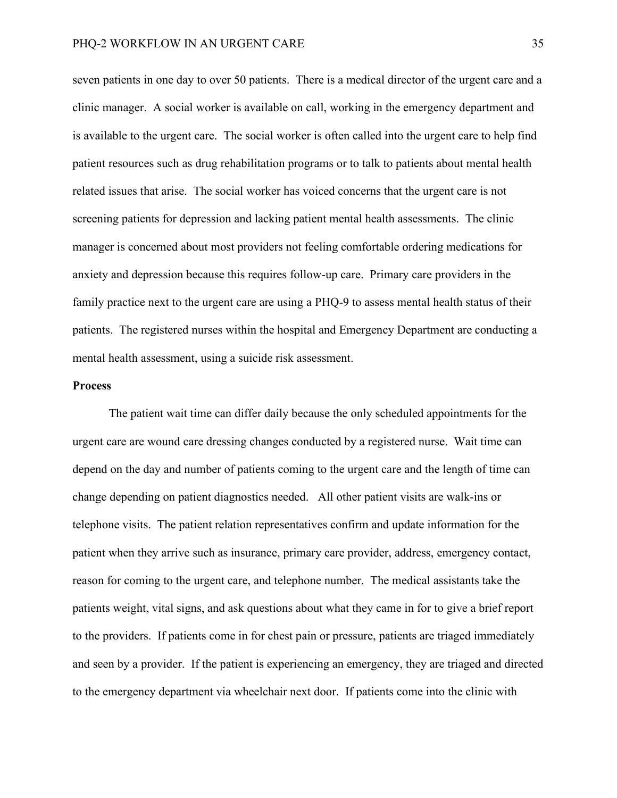seven patients in one day to over 50 patients. There is a medical director of the urgent care and a clinic manager. A social worker is available on call, working in the emergency department and is available to the urgent care. The social worker is often called into the urgent care to help find patient resources such as drug rehabilitation programs or to talk to patients about mental health related issues that arise. The social worker has voiced concerns that the urgent care is not screening patients for depression and lacking patient mental health assessments. The clinic manager is concerned about most providers not feeling comfortable ordering medications for anxiety and depression because this requires follow-up care. Primary care providers in the family practice next to the urgent care are using a PHQ-9 to assess mental health status of their patients. The registered nurses within the hospital and Emergency Department are conducting a mental health assessment, using a suicide risk assessment.

#### **Process**

The patient wait time can differ daily because the only scheduled appointments for the urgent care are wound care dressing changes conducted by a registered nurse. Wait time can depend on the day and number of patients coming to the urgent care and the length of time can change depending on patient diagnostics needed. All other patient visits are walk-ins or telephone visits. The patient relation representatives confirm and update information for the patient when they arrive such as insurance, primary care provider, address, emergency contact, reason for coming to the urgent care, and telephone number. The medical assistants take the patients weight, vital signs, and ask questions about what they came in for to give a brief report to the providers. If patients come in for chest pain or pressure, patients are triaged immediately and seen by a provider. If the patient is experiencing an emergency, they are triaged and directed to the emergency department via wheelchair next door. If patients come into the clinic with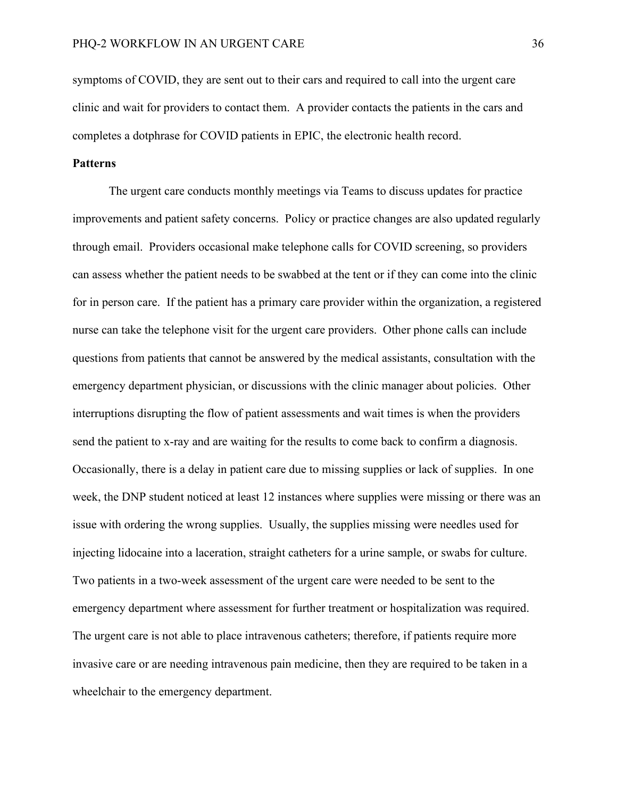symptoms of COVID, they are sent out to their cars and required to call into the urgent care clinic and wait for providers to contact them. A provider contacts the patients in the cars and completes a dotphrase for COVID patients in EPIC, the electronic health record.

#### **Patterns**

The urgent care conducts monthly meetings via Teams to discuss updates for practice improvements and patient safety concerns. Policy or practice changes are also updated regularly through email. Providers occasional make telephone calls for COVID screening, so providers can assess whether the patient needs to be swabbed at the tent or if they can come into the clinic for in person care. If the patient has a primary care provider within the organization, a registered nurse can take the telephone visit for the urgent care providers. Other phone calls can include questions from patients that cannot be answered by the medical assistants, consultation with the emergency department physician, or discussions with the clinic manager about policies. Other interruptions disrupting the flow of patient assessments and wait times is when the providers send the patient to x-ray and are waiting for the results to come back to confirm a diagnosis. Occasionally, there is a delay in patient care due to missing supplies or lack of supplies. In one week, the DNP student noticed at least 12 instances where supplies were missing or there was an issue with ordering the wrong supplies. Usually, the supplies missing were needles used for injecting lidocaine into a laceration, straight catheters for a urine sample, or swabs for culture. Two patients in a two-week assessment of the urgent care were needed to be sent to the emergency department where assessment for further treatment or hospitalization was required. The urgent care is not able to place intravenous catheters; therefore, if patients require more invasive care or are needing intravenous pain medicine, then they are required to be taken in a wheelchair to the emergency department.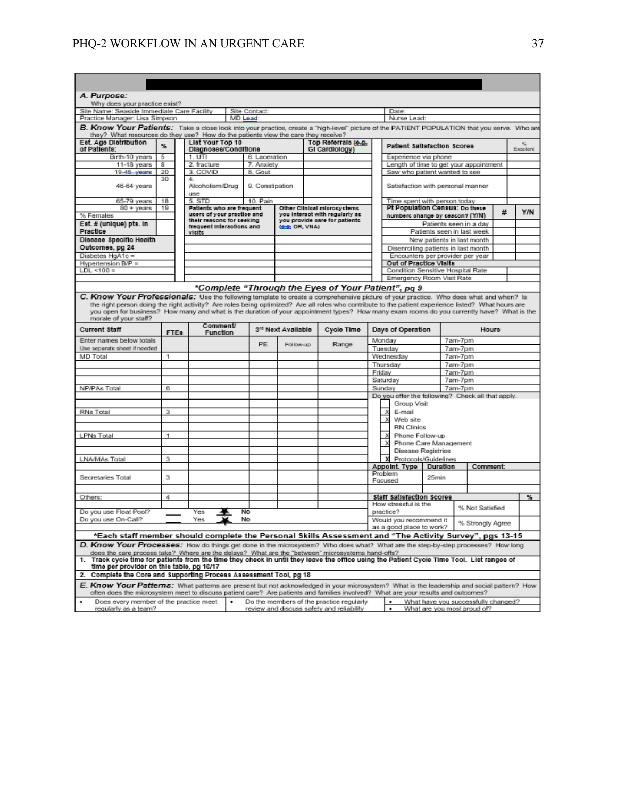| A. Purpose:                                                                                                                                                                                                                                                                                                                |                  |  |                                                         |   |                                       |                    |                                                                  |                                                   |           |                                          |                                                      |         |                                     |   |     |
|----------------------------------------------------------------------------------------------------------------------------------------------------------------------------------------------------------------------------------------------------------------------------------------------------------------------------|------------------|--|---------------------------------------------------------|---|---------------------------------------|--------------------|------------------------------------------------------------------|---------------------------------------------------|-----------|------------------------------------------|------------------------------------------------------|---------|-------------------------------------|---|-----|
| Why does your practice exist?                                                                                                                                                                                                                                                                                              |                  |  |                                                         |   |                                       |                    |                                                                  |                                                   |           |                                          |                                                      |         |                                     |   |     |
| Site Name: Seaside Immediate Care Facility                                                                                                                                                                                                                                                                                 |                  |  |                                                         |   | Site Contact:                         |                    |                                                                  |                                                   |           | Date:                                    |                                                      |         |                                     |   |     |
| Practice Manager: Lisa Simpson                                                                                                                                                                                                                                                                                             |                  |  | MD Lead:                                                |   |                                       |                    |                                                                  | Nurse Lead:                                       |           |                                          |                                                      |         |                                     |   |     |
| B. Know Your Patients: Take a close look into your practice, create a "high-level" picture of the PATIENT POPULATION that you serve. Who are<br>they? What resources do they use? How do the patients view the care they receive?                                                                                          |                  |  |                                                         |   |                                       |                    |                                                                  |                                                   |           |                                          |                                                      |         |                                     |   |     |
| Est. Age Distribution<br>of Patients:                                                                                                                                                                                                                                                                                      | %                |  | List Your Top 10<br>Diagnoses/Conditions                |   | Top Referrals (e.g.<br>GI Cardiology) |                    | <b>Patient Satisfaction Scores</b>                               |                                                   |           |                                          | 帖<br>Excellent                                       |         |                                     |   |     |
| Birth-10 years                                                                                                                                                                                                                                                                                                             | 5                |  | 1. UTI                                                  |   | 6. Laceration                         |                    |                                                                  |                                                   |           | Experience via phone                     |                                                      |         |                                     |   |     |
| 11-18 years                                                                                                                                                                                                                                                                                                                | 8                |  | 2. fracture                                             |   | 7. Anxiety                            |                    |                                                                  |                                                   |           | Length of time to get your appointment   |                                                      |         |                                     |   |     |
| 19-45 years                                                                                                                                                                                                                                                                                                                | 20               |  | 3. COVID                                                |   | 8. Gout                               |                    |                                                                  |                                                   |           | Saw who patient wanted to see            |                                                      |         |                                     |   |     |
| 46-64 years                                                                                                                                                                                                                                                                                                                | 30               |  | 4.<br>Alcoholism/Drug<br><b>LIGA</b>                    |   | 9. Constipation                       |                    |                                                                  |                                                   |           | Satisfaction with personal manner        |                                                      |         |                                     |   |     |
| 65-79 years                                                                                                                                                                                                                                                                                                                | 18               |  | 5. STD                                                  |   | 10. Pain                              |                    |                                                                  |                                                   |           | Time spent with person today             |                                                      |         |                                     |   |     |
| 80 + years                                                                                                                                                                                                                                                                                                                 | 19               |  | Patients who are frequent                               |   |                                       |                    | Other Clinical microsystems                                      |                                                   |           | Pt Population Census: Do these           |                                                      |         |                                     | # | Y/N |
| % Females                                                                                                                                                                                                                                                                                                                  |                  |  | users of your practice and<br>their reasons for seeking |   |                                       |                    | you Interact with regularly ac-<br>you provide care for patients |                                                   |           | numbers change by season? (Y/N)          |                                                      |         |                                     |   |     |
| Est. # (unique) pts. in<br>Practice                                                                                                                                                                                                                                                                                        |                  |  | frequent interactions and<br>visits                     |   |                                       | (e.g. OR, VNA)     |                                                                  |                                                   |           |                                          | Patients seen in a day<br>Patients seen in last week |         |                                     |   |     |
| Disease Specific Health                                                                                                                                                                                                                                                                                                    |                  |  |                                                         |   |                                       |                    |                                                                  |                                                   |           |                                          | New patients in last month                           |         |                                     |   |     |
| Outcomes, pg 24                                                                                                                                                                                                                                                                                                            |                  |  |                                                         |   |                                       |                    |                                                                  |                                                   |           | Disenrolling patients in last month      |                                                      |         |                                     |   |     |
| Diabetes HgA1c =                                                                                                                                                                                                                                                                                                           |                  |  |                                                         |   |                                       |                    |                                                                  |                                                   |           | Encounters per provider per year         |                                                      |         |                                     |   |     |
| Hypertension B/P =                                                                                                                                                                                                                                                                                                         |                  |  |                                                         |   |                                       |                    |                                                                  |                                                   |           | Out of Practice Visits                   |                                                      |         |                                     |   |     |
| $LDL \le 100 =$                                                                                                                                                                                                                                                                                                            |                  |  |                                                         |   |                                       |                    |                                                                  |                                                   |           | Condition Sensitive Hospital Rate        |                                                      |         |                                     |   |     |
|                                                                                                                                                                                                                                                                                                                            |                  |  |                                                         |   |                                       |                    |                                                                  |                                                   |           | Emergency Room Visit Rate                |                                                      |         |                                     |   |     |
|                                                                                                                                                                                                                                                                                                                            |                  |  |                                                         |   |                                       |                    | *Complete "Through the Eyes of Your Patient", pg 9               |                                                   |           |                                          |                                                      |         |                                     |   |     |
| C. Know Your Professionals: Use the following template to create a comprehensive picture of your practice. Who does what and when? Is                                                                                                                                                                                      |                  |  |                                                         |   |                                       |                    |                                                                  |                                                   |           |                                          |                                                      |         |                                     |   |     |
| the right person doing the right activity? Are roles being optimized? Are all roles who contribute to the patient experience listed? What hours are<br>you open for business? How many and what is the duration of your appointment types? How many exam rooms do you currently have? What is the<br>morale of your staff? |                  |  |                                                         |   |                                       |                    |                                                                  |                                                   |           |                                          |                                                      |         |                                     |   |     |
| <b>Current Staff</b>                                                                                                                                                                                                                                                                                                       | FTE <sub>8</sub> |  | Comment<br>Function                                     |   |                                       | 3rd Next Available | Cycle Time                                                       |                                                   |           | Days of Operation                        |                                                      |         | Hours                               |   |     |
| Enter names below totals                                                                                                                                                                                                                                                                                                   |                  |  |                                                         |   | PE                                    | Follow-up          | Range                                                            |                                                   | Monday    |                                          |                                                      | 7am-7pm |                                     |   |     |
| Use separate sheet if needed                                                                                                                                                                                                                                                                                               |                  |  |                                                         |   |                                       |                    |                                                                  |                                                   | Tuesday   |                                          |                                                      | 7am-7pm |                                     |   |     |
| MD Total                                                                                                                                                                                                                                                                                                                   | 1                |  |                                                         |   |                                       |                    |                                                                  | 7am-7pm<br>Wednesday                              |           |                                          |                                                      |         |                                     |   |     |
|                                                                                                                                                                                                                                                                                                                            |                  |  |                                                         |   |                                       |                    |                                                                  |                                                   | Thursday  |                                          |                                                      | 7am-7pm |                                     |   |     |
|                                                                                                                                                                                                                                                                                                                            |                  |  |                                                         |   |                                       |                    |                                                                  | Friday<br>7am-7pm                                 |           |                                          |                                                      |         |                                     |   |     |
|                                                                                                                                                                                                                                                                                                                            |                  |  |                                                         |   |                                       |                    |                                                                  | Saturday<br>7am-7pm                               |           |                                          |                                                      |         |                                     |   |     |
| NP/PAs Total                                                                                                                                                                                                                                                                                                               | 6                |  |                                                         |   |                                       |                    |                                                                  | Sundav<br>7am-7pm                                 |           |                                          |                                                      |         |                                     |   |     |
|                                                                                                                                                                                                                                                                                                                            |                  |  |                                                         |   |                                       |                    |                                                                  | Do you offer the following? Check all that apply. |           |                                          |                                                      |         |                                     |   |     |
|                                                                                                                                                                                                                                                                                                                            |                  |  |                                                         |   |                                       |                    |                                                                  |                                                   |           | Group Visit                              |                                                      |         |                                     |   |     |
| RNs Total                                                                                                                                                                                                                                                                                                                  | 3                |  |                                                         |   |                                       |                    |                                                                  |                                                   | x         | E-mail                                   |                                                      |         |                                     |   |     |
|                                                                                                                                                                                                                                                                                                                            |                  |  |                                                         |   |                                       |                    |                                                                  |                                                   |           | Web site                                 |                                                      |         |                                     |   |     |
|                                                                                                                                                                                                                                                                                                                            | 1                |  |                                                         |   |                                       |                    |                                                                  |                                                   |           | <b>RN Clinics</b>                        |                                                      |         |                                     |   |     |
| LPNs Total                                                                                                                                                                                                                                                                                                                 |                  |  |                                                         |   |                                       |                    |                                                                  |                                                   | ×         | Phone Follow-up<br>Phone Care Management |                                                      |         |                                     |   |     |
|                                                                                                                                                                                                                                                                                                                            |                  |  |                                                         |   |                                       |                    |                                                                  |                                                   |           | Disease Registries                       |                                                      |         |                                     |   |     |
| LNA/MAs Total                                                                                                                                                                                                                                                                                                              | з                |  |                                                         |   |                                       |                    |                                                                  |                                                   |           | Protocols/Guidelines                     |                                                      |         |                                     |   |     |
|                                                                                                                                                                                                                                                                                                                            |                  |  |                                                         |   |                                       |                    |                                                                  |                                                   |           | Appoint, Type                            | Duration                                             |         | Comment:                            |   |     |
|                                                                                                                                                                                                                                                                                                                            |                  |  |                                                         |   |                                       |                    |                                                                  |                                                   | Problem   |                                          |                                                      |         |                                     |   |     |
| Secretaries Total                                                                                                                                                                                                                                                                                                          | з                |  |                                                         |   |                                       |                    |                                                                  |                                                   | Focused   |                                          | 25min                                                |         |                                     |   |     |
|                                                                                                                                                                                                                                                                                                                            |                  |  |                                                         |   |                                       |                    |                                                                  |                                                   |           |                                          |                                                      |         |                                     |   |     |
| Others:                                                                                                                                                                                                                                                                                                                    | 4                |  |                                                         |   |                                       |                    |                                                                  |                                                   |           | <b>Staff Satisfaction Scores</b>         |                                                      |         |                                     |   | %.  |
|                                                                                                                                                                                                                                                                                                                            |                  |  |                                                         |   |                                       |                    |                                                                  |                                                   |           | How stressful is the                     |                                                      |         | % Not Satisfied                     |   |     |
| Do you use Float Pool?                                                                                                                                                                                                                                                                                                     |                  |  | Yes                                                     |   | No                                    |                    |                                                                  |                                                   | practice? |                                          |                                                      |         |                                     |   |     |
| Do you use On-Call?                                                                                                                                                                                                                                                                                                        |                  |  | Yes                                                     |   | No                                    |                    |                                                                  |                                                   |           | Would you recommend it                   |                                                      |         | % Strongly Agree                    |   |     |
|                                                                                                                                                                                                                                                                                                                            |                  |  |                                                         |   |                                       |                    |                                                                  |                                                   |           | as a good place to work?                 |                                                      |         |                                     |   |     |
| Each staff member should complete the Personal Skills Assessment and "The Activity Survey", pgs 13-15*                                                                                                                                                                                                                     |                  |  |                                                         |   |                                       |                    |                                                                  |                                                   |           |                                          |                                                      |         |                                     |   |     |
| D. Know Your Processes: How do things get done in the microsystem? Who does what? What are the step-by-step processes? How long<br>does the care process take? Where are the delays? What are the "between" microsystems hand-offs?                                                                                        |                  |  |                                                         |   |                                       |                    |                                                                  |                                                   |           |                                          |                                                      |         |                                     |   |     |
| Track cycle time for patients from the time they check in until they leave the office using the Patient Cycle Time Tool. List ranges of<br>time per provider on this table, pg 16/17                                                                                                                                       |                  |  |                                                         |   |                                       |                    |                                                                  |                                                   |           |                                          |                                                      |         |                                     |   |     |
| Complete the Core and Supporting Process Assessment Tool, pg 18<br>2.                                                                                                                                                                                                                                                      |                  |  |                                                         |   |                                       |                    |                                                                  |                                                   |           |                                          |                                                      |         |                                     |   |     |
| E. Know Your Patterns: What patterns are present but not acknowledged in your microsystem? What is the leadership and social pattern? How<br>often does the microsystem meet to discuss patient care? Are patients and families involved? What are your results and outcomes?                                              |                  |  |                                                         |   |                                       |                    |                                                                  |                                                   |           |                                          |                                                      |         |                                     |   |     |
| Does every member of the practice meet                                                                                                                                                                                                                                                                                     |                  |  |                                                         | ٠ |                                       |                    | Do the members of the practice regularly                         |                                                   |           | ٠                                        |                                                      |         | What have you successfully changed? |   |     |
| regularly as a team?                                                                                                                                                                                                                                                                                                       |                  |  |                                                         |   |                                       |                    | review and discuss safety and reliability                        |                                                   |           | ٠                                        |                                                      |         | What are you most proud of?         |   |     |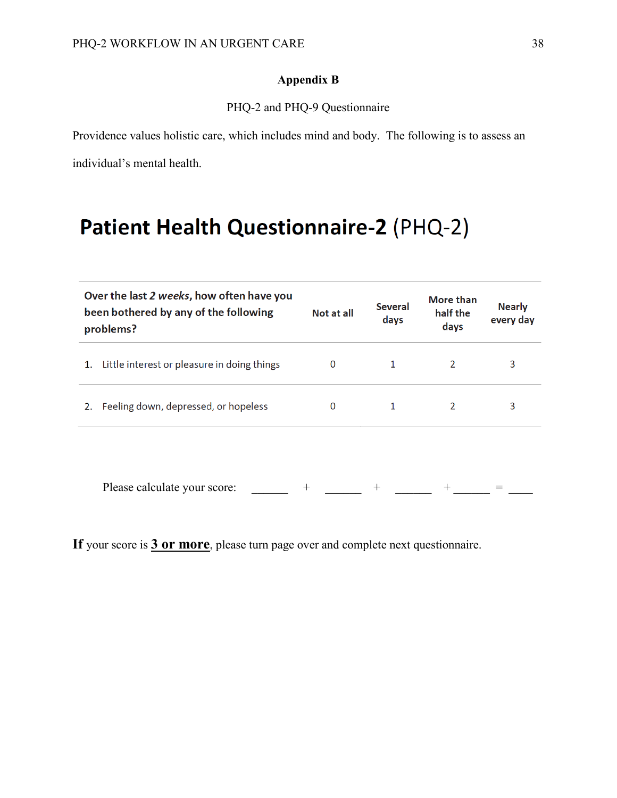### **Appendix B**

PHQ-2 and PHQ-9 Questionnaire

Providence values holistic care, which includes mind and body. The following is to assess an individual's mental health.

# Patient Health Questionnaire-2 (PHQ-2)

|    | Over the last 2 weeks, how often have you<br>been bothered by any of the following<br>problems? | Not at all | <b>Several</b><br>days | More than<br>half the<br>days | <b>Nearly</b><br>every day |
|----|-------------------------------------------------------------------------------------------------|------------|------------------------|-------------------------------|----------------------------|
| 1. | Little interest or pleasure in doing things                                                     | $\Omega$   |                        |                               | 3                          |
| 2. | Feeling down, depressed, or hopeless                                                            | 0          |                        | 2                             | 3                          |
|    |                                                                                                 |            |                        |                               |                            |
|    | Please calculate your score:                                                                    | $^+$       |                        |                               |                            |

**If** your score is **3 or more**, please turn page over and complete next questionnaire.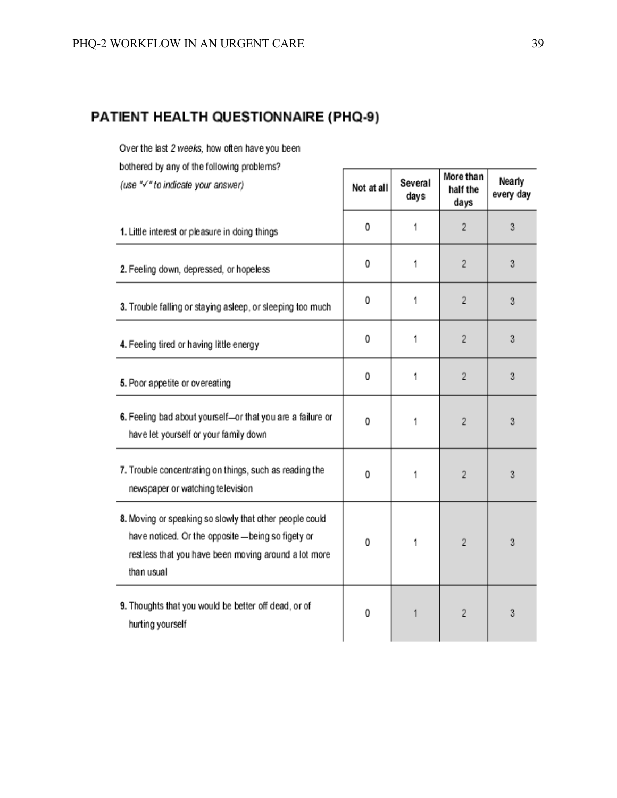# PATIENT HEALTH QUESTIONNAIRE (PHQ-9)

Over the last 2 weeks, how often have you been

| bothered by any of the following problems?                                                                                                                                          |            |                 |                               |                     |
|-------------------------------------------------------------------------------------------------------------------------------------------------------------------------------------|------------|-----------------|-------------------------------|---------------------|
| (use "/" to indicate your answer)                                                                                                                                                   | Not at all | Several<br>days | More than<br>half the<br>days | Nearly<br>every day |
| 1. Little interest or pleasure in doing things                                                                                                                                      | 0          | 1               | $\overline{2}$                | 3                   |
| 2. Feeling down, depressed, or hopeless                                                                                                                                             | 0          | 1               | 2                             | 3                   |
| 3. Trouble falling or staying asleep, or sleeping too much                                                                                                                          | 0          | 1               | $\overline{2}$                | 3                   |
| 4. Feeling tired or having little energy                                                                                                                                            | 0          | 1               | $\overline{2}$                | 3                   |
| 5. Poor appetite or overeating                                                                                                                                                      | 0          | 1               | $\overline{2}$                | 3                   |
| 6. Feeling bad about yourself-or that you are a failure or<br>have let yourself or your family down                                                                                 | 0          | 1               | 2                             | 3                   |
| 7. Trouble concentrating on things, such as reading the<br>newspaper or watching television                                                                                         | 0          | 1               | $\overline{2}$                | 3                   |
| 8. Moving or speaking so slowly that other people could<br>have noticed. Or the opposite - being so figety or<br>restless that you have been moving around a lot more<br>than usual | 0          | 1               | $\overline{2}$                | 3                   |
| 9. Thoughts that you would be better off dead, or of<br>hurting yourself                                                                                                            | 0          | 1               | $\overline{2}$                | 3                   |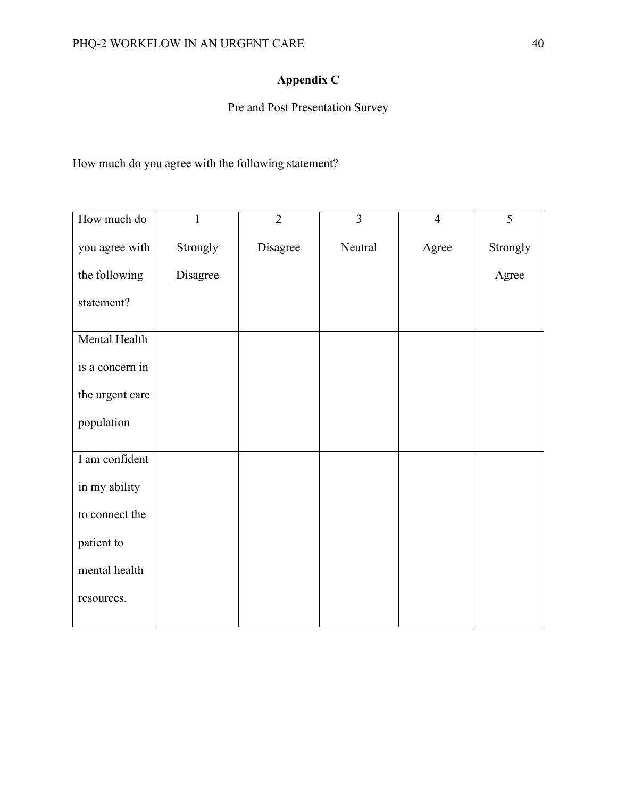# **Appendix C**

Pre and Post Presentation Survey

How much do you agree with the following statement?

| How much do     | $\mathbf{1}$ | $\overline{2}$ | $\overline{3}$ | $\overline{4}$ | $\overline{5}$ |
|-----------------|--------------|----------------|----------------|----------------|----------------|
| you agree with  | Strongly     | Disagree       | Neutral        | Agree          | Strongly       |
| the following   | Disagree     |                |                |                | Agree          |
| statement?      |              |                |                |                |                |
| Mental Health   |              |                |                |                |                |
| is a concern in |              |                |                |                |                |
| the urgent care |              |                |                |                |                |
| population      |              |                |                |                |                |
| I am confident  |              |                |                |                |                |
| in my ability   |              |                |                |                |                |
| to connect the  |              |                |                |                |                |
| patient to      |              |                |                |                |                |
| mental health   |              |                |                |                |                |
| resources.      |              |                |                |                |                |
|                 |              |                |                |                |                |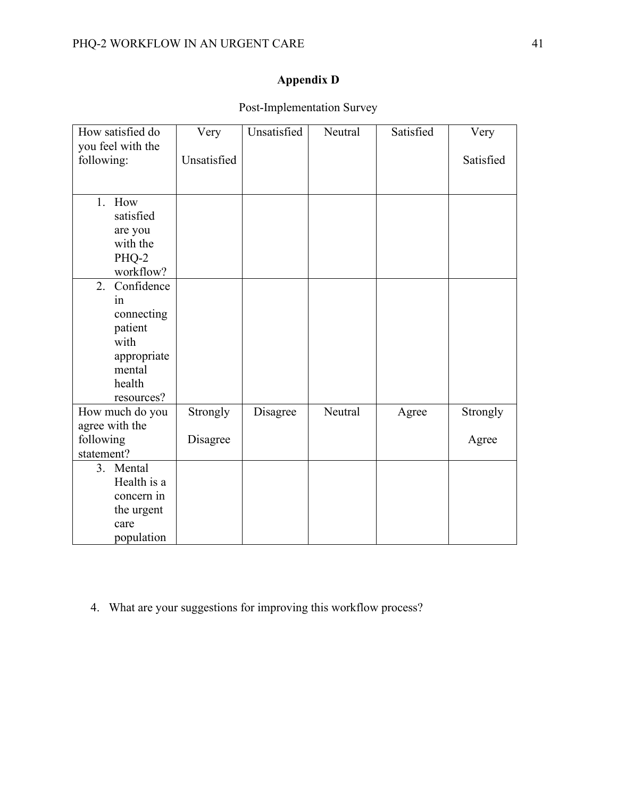# **Appendix D**

| How satisfied do  | Very        | Unsatisfied | Neutral | Satisfied | Very      |
|-------------------|-------------|-------------|---------|-----------|-----------|
| you feel with the |             |             |         |           |           |
| following:        | Unsatisfied |             |         |           | Satisfied |
|                   |             |             |         |           |           |
|                   |             |             |         |           |           |
| 1. How            |             |             |         |           |           |
| satisfied         |             |             |         |           |           |
| are you           |             |             |         |           |           |
| with the          |             |             |         |           |           |
| PHQ-2             |             |             |         |           |           |
| workflow?         |             |             |         |           |           |
| 2.<br>Confidence  |             |             |         |           |           |
| in                |             |             |         |           |           |
| connecting        |             |             |         |           |           |
| patient           |             |             |         |           |           |
| with              |             |             |         |           |           |
| appropriate       |             |             |         |           |           |
| mental            |             |             |         |           |           |
| health            |             |             |         |           |           |
| resources?        |             |             |         |           |           |
| How much do you   | Strongly    | Disagree    | Neutral | Agree     | Strongly  |
| agree with the    |             |             |         |           |           |
| following         | Disagree    |             |         |           | Agree     |
| statement?        |             |             |         |           |           |
| 3. Mental         |             |             |         |           |           |
| Health is a       |             |             |         |           |           |
| concern in        |             |             |         |           |           |
| the urgent        |             |             |         |           |           |
| care              |             |             |         |           |           |
| population        |             |             |         |           |           |

Post-Implementation Survey

4. What are your suggestions for improving this workflow process?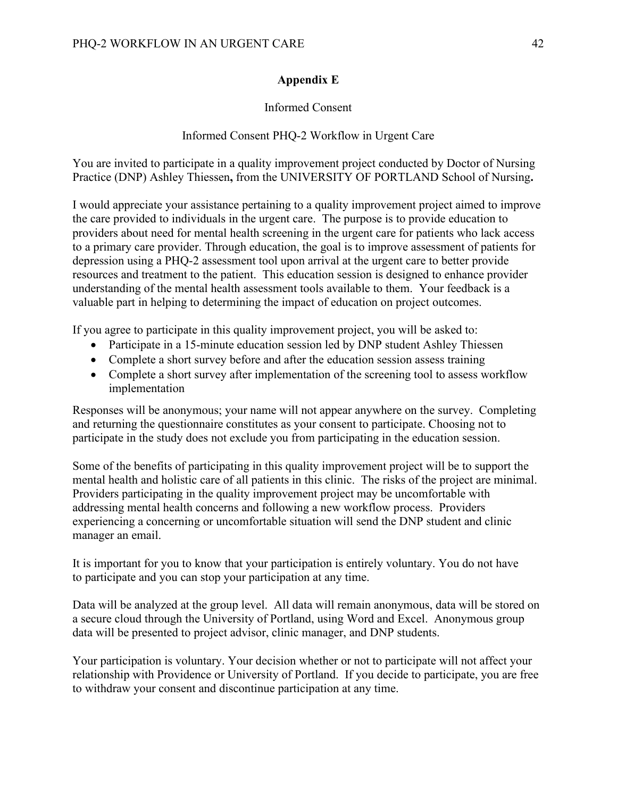### **Appendix E**

### Informed Consent

### Informed Consent PHQ-2 Workflow in Urgent Care

You are invited to participate in a quality improvement project conducted by Doctor of Nursing Practice (DNP) Ashley Thiessen**,** from the UNIVERSITY OF PORTLAND School of Nursing**.**

I would appreciate your assistance pertaining to a quality improvement project aimed to improve the care provided to individuals in the urgent care. The purpose is to provide education to providers about need for mental health screening in the urgent care for patients who lack access to a primary care provider. Through education, the goal is to improve assessment of patients for depression using a PHQ-2 assessment tool upon arrival at the urgent care to better provide resources and treatment to the patient. This education session is designed to enhance provider understanding of the mental health assessment tools available to them. Your feedback is a valuable part in helping to determining the impact of education on project outcomes.

If you agree to participate in this quality improvement project, you will be asked to:

- Participate in a 15-minute education session led by DNP student Ashley Thiessen
- Complete a short survey before and after the education session assess training
- Complete a short survey after implementation of the screening tool to assess workflow implementation

Responses will be anonymous; your name will not appear anywhere on the survey. Completing and returning the questionnaire constitutes as your consent to participate. Choosing not to participate in the study does not exclude you from participating in the education session.

Some of the benefits of participating in this quality improvement project will be to support the mental health and holistic care of all patients in this clinic. The risks of the project are minimal. Providers participating in the quality improvement project may be uncomfortable with addressing mental health concerns and following a new workflow process. Providers experiencing a concerning or uncomfortable situation will send the DNP student and clinic manager an email.

It is important for you to know that your participation is entirely voluntary. You do not have to participate and you can stop your participation at any time.

Data will be analyzed at the group level. All data will remain anonymous, data will be stored on a secure cloud through the University of Portland, using Word and Excel. Anonymous group data will be presented to project advisor, clinic manager, and DNP students.

Your participation is voluntary. Your decision whether or not to participate will not affect your relationship with Providence or University of Portland. If you decide to participate, you are free to withdraw your consent and discontinue participation at any time.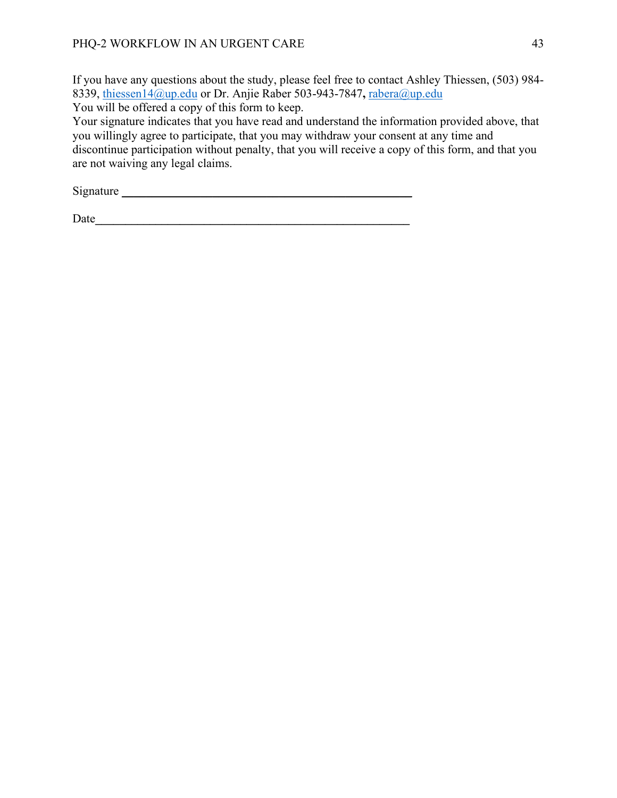If you have any questions about the study, please feel free to contact Ashley Thiessen, (503) 984- 8339, [thiessen14@up.edu](mailto:thiessen14@up.edu) or Dr. Anjie Raber 503-943-7847**,** [rabera@up.edu](mailto:rabera@up.edu) You will be offered a copy of this form to keep.

Your signature indicates that you have read and understand the information provided above, that you willingly agree to participate, that you may withdraw your consent at any time and discontinue participation without penalty, that you will receive a copy of this form, and that you are not waiving any legal claims.

Signature \_\_\_\_\_\_\_\_\_\_\_\_\_\_\_\_\_\_\_\_\_\_\_\_\_\_\_\_\_\_\_\_\_\_\_\_\_\_\_\_\_\_\_\_\_\_\_\_

Date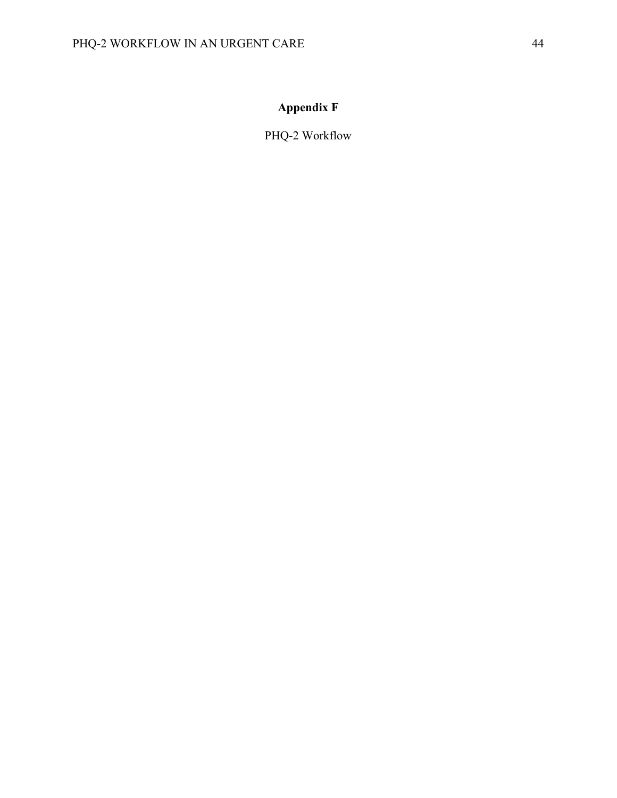# **Appendix F**

PHQ-2 Workflow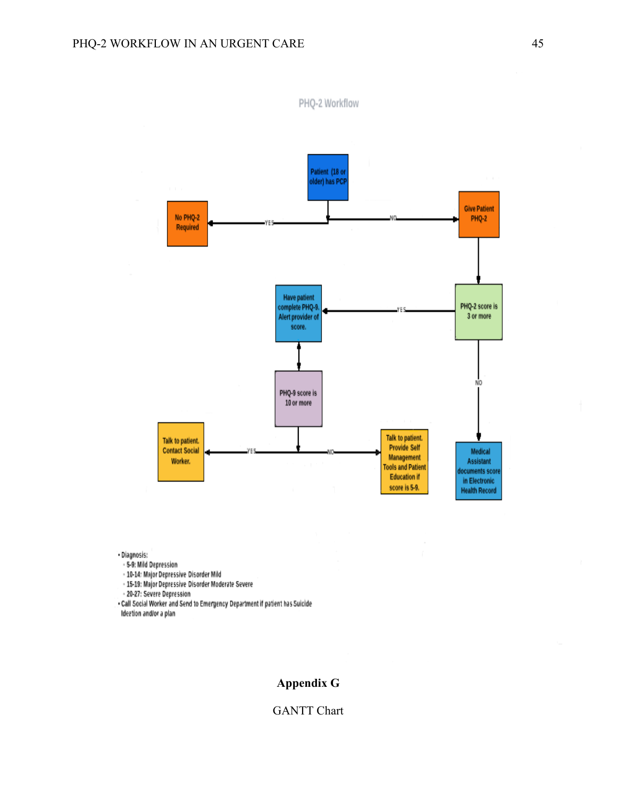No PHQ-2

Required



Talk to patient.

**Provide Self** 

Management

**Tools and Patient** 

**Education if** 

score is 5-9.

PHQ-2 Workflow

- Diagnosis:

- 5-9: Mild Depression

- 10-14: Major Depressive Disorder Mild

Talk to patient.

**Contact Social** 

Worker.

- 15-19: Major Depressive Disorder Moderate Severe

- 20-27: Severe Depression

. Call Social Worker and Send to Emergency Department if patient has Suicide Ideetion and/or a plan

### **Appendix G**

PHQ-9 score is 10 or more

#### GANTT Chart

NO

Medical

Assistant

locuments score

in Electronic

**Health Record**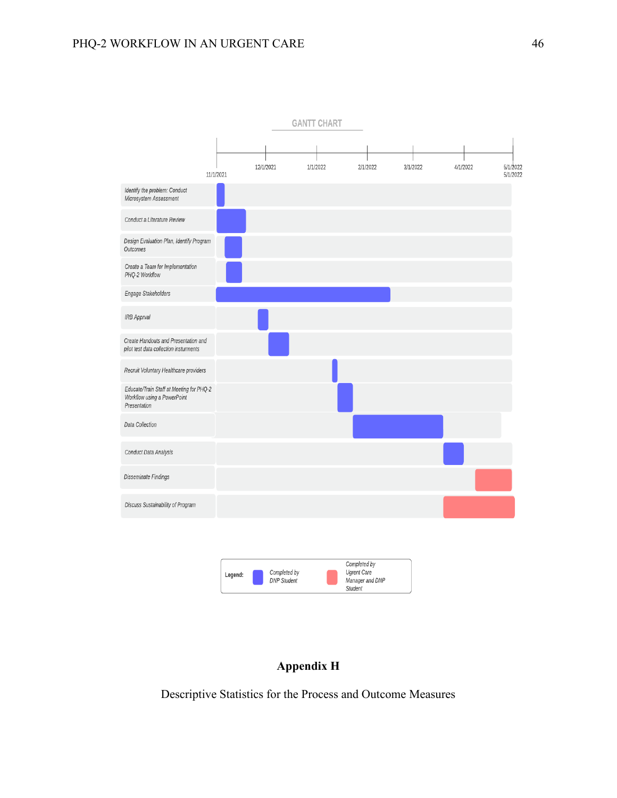

### **Appendix H**

Descriptive Statistics for the Process and Outcome Measures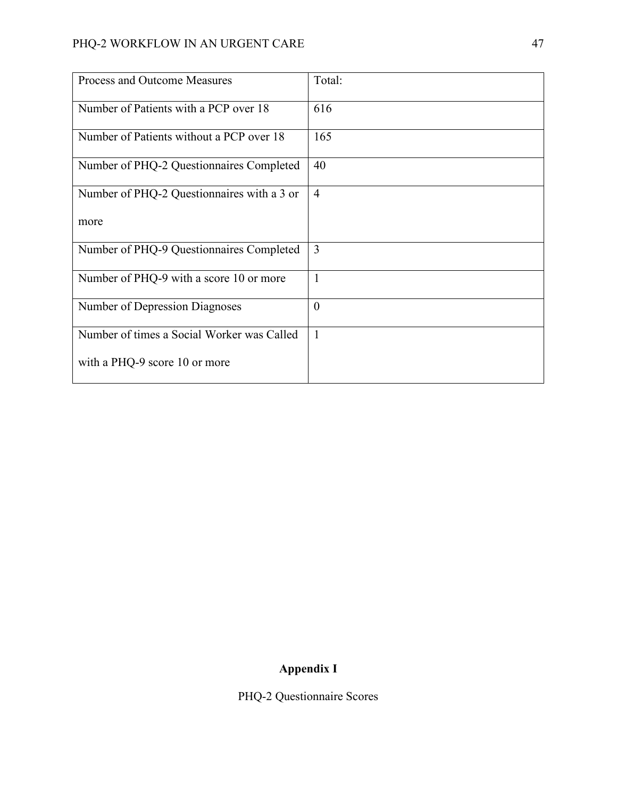| Process and Outcome Measures               | Total:         |
|--------------------------------------------|----------------|
| Number of Patients with a PCP over 18      | 616            |
| Number of Patients without a PCP over 18   | 165            |
| Number of PHQ-2 Questionnaires Completed   | 40             |
| Number of PHQ-2 Questionnaires with a 3 or | $\overline{4}$ |
| more                                       |                |
| Number of PHQ-9 Questionnaires Completed   | $\overline{3}$ |
| Number of PHQ-9 with a score 10 or more    | $\mathbf{1}$   |
| Number of Depression Diagnoses             | $\theta$       |
| Number of times a Social Worker was Called | $\overline{1}$ |
| with a PHQ-9 score 10 or more              |                |

# **Appendix I**

PHQ-2 Questionnaire Scores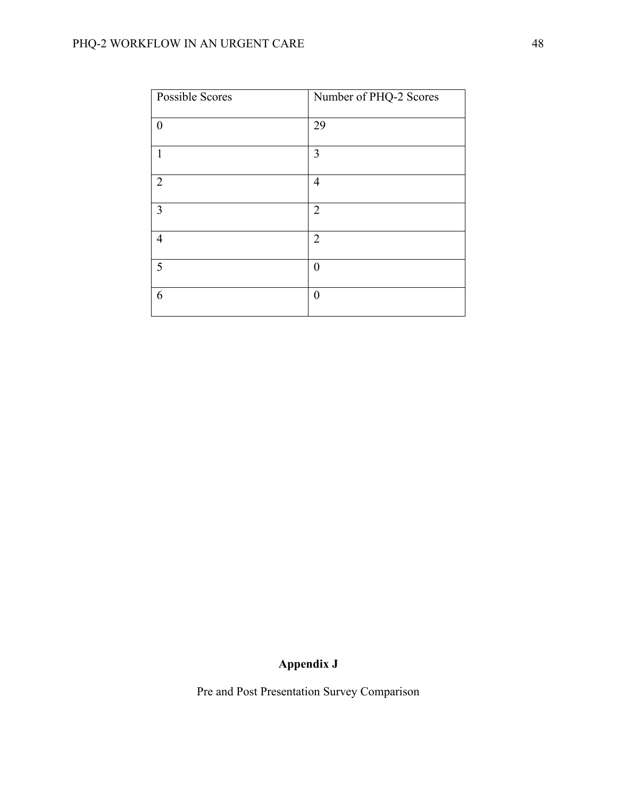# PHQ-2 WORKFLOW IN AN URGENT CARE 48

| Possible Scores | Number of PHQ-2 Scores |
|-----------------|------------------------|
| $\theta$        | 29                     |
| 1               | 3                      |
| $\overline{2}$  | $\overline{4}$         |
| $\overline{3}$  | $\overline{2}$         |
| $\overline{4}$  | $\overline{2}$         |
| 5               | $\boldsymbol{0}$       |
| 6               | $\theta$               |

# **Appendix J**

Pre and Post Presentation Survey Comparison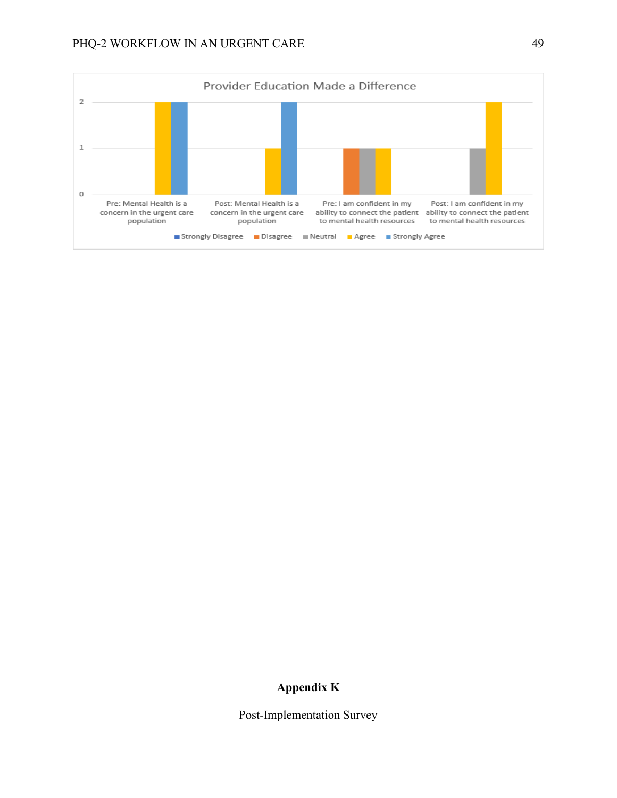

### **Appendix K**

Post-Implementation Survey